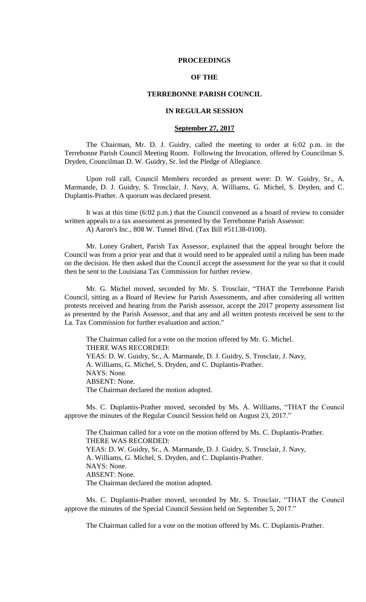### **PROCEEDINGS**

# **OF THE**

### **TERREBONNE PARISH COUNCIL**

# **IN REGULAR SESSION**

### **September 27, 2017**

The Chairman, Mr. D. J. Guidry, called the meeting to order at 6:02 p.m. in the Terrebonne Parish Council Meeting Room. Following the Invocation, offered by Councilman S. Dryden, Councilman D. W. Guidry, Sr. led the Pledge of Allegiance.

Upon roll call, Council Members recorded as present were: D. W. Guidry, Sr., A. Marmande, D. J. Guidry, S. Trosclair, J. Navy, A. Williams, G. Michel, S. Dryden, and C. Duplantis-Prather. A quorum was declared present.

It was at this time (6:02 p.m.) that the Council convened as a board of review to consider written appeals to a tax assessment as presented by the Terrebonne Parish Assessor: A) Aaron's Inc., 808 W. Tunnel Blvd. (Tax Bill #51138-0100).

Mr. Loney Grabert, Parish Tax Assessor, explained that the appeal brought before the Council was from a prior year and that it would need to be appealed until a ruling has been made on the decision. He then asked that the Council accept the assessment for the year so that it could then be sent to the Louisiana Tax Commission for further review.

Mr. G. Michel moved, seconded by Mr. S. Trosclair, "THAT the Terrebonne Parish Council, sitting as a Board of Review for Parish Assessments, and after considering all written protests received and hearing from the Parish assessor, accept the 2017 property assessment list as presented by the Parish Assessor, and that any and all written protests received be sent to the La. Tax Commission for further evaluation and action."

The Chairman called for a vote on the motion offered by Mr. G. Michel. THERE WAS RECORDED: YEAS: D. W. Guidry, Sr., A. Marmande, D. J. Guidry, S. Trosclair, J. Navy, A. Williams, G. Michel, S. Dryden, and C. Duplantis-Prather. NAYS: None. ABSENT: None. The Chairman declared the motion adopted.

Ms. C. Duplantis-Prather moved, seconded by Ms. A. Williams, "THAT the Council approve the minutes of the Regular Council Session held on August 23, 2017."

The Chairman called for a vote on the motion offered by Ms. C. Duplantis-Prather. THERE WAS RECORDED: YEAS: D. W. Guidry, Sr., A. Marmande, D. J. Guidry, S. Trosclair, J. Navy, A. Williams, G. Michel, S. Dryden, and C. Duplantis-Prather. NAYS: None. ABSENT: None. The Chairman declared the motion adopted.

Ms. C. Duplantis-Prather moved, seconded by Mr. S. Trosclair, "THAT the Council approve the minutes of the Special Council Session held on September 5, 2017."

The Chairman called for a vote on the motion offered by Ms. C. Duplantis-Prather.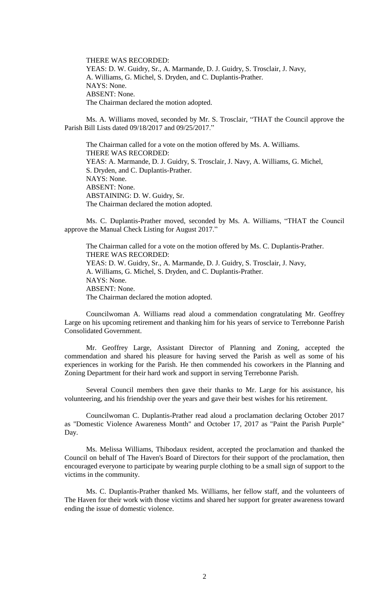THERE WAS RECORDED: YEAS: D. W. Guidry, Sr., A. Marmande, D. J. Guidry, S. Trosclair, J. Navy, A. Williams, G. Michel, S. Dryden, and C. Duplantis-Prather. NAYS: None. ABSENT: None. The Chairman declared the motion adopted.

Ms. A. Williams moved, seconded by Mr. S. Trosclair, "THAT the Council approve the Parish Bill Lists dated 09/18/2017 and 09/25/2017."

The Chairman called for a vote on the motion offered by Ms. A. Williams. THERE WAS RECORDED: YEAS: A. Marmande, D. J. Guidry, S. Trosclair, J. Navy, A. Williams, G. Michel, S. Dryden, and C. Duplantis-Prather. NAYS: None. ABSENT: None. ABSTAINING: D. W. Guidry, Sr. The Chairman declared the motion adopted.

Ms. C. Duplantis-Prather moved, seconded by Ms. A. Williams, "THAT the Council approve the Manual Check Listing for August 2017."

The Chairman called for a vote on the motion offered by Ms. C. Duplantis-Prather. THERE WAS RECORDED: YEAS: D. W. Guidry, Sr., A. Marmande, D. J. Guidry, S. Trosclair, J. Navy, A. Williams, G. Michel, S. Dryden, and C. Duplantis-Prather. NAYS: None. ABSENT: None. The Chairman declared the motion adopted.

Councilwoman A. Williams read aloud a commendation congratulating Mr. Geoffrey Large on his upcoming retirement and thanking him for his years of service to Terrebonne Parish Consolidated Government.

Mr. Geoffrey Large, Assistant Director of Planning and Zoning, accepted the commendation and shared his pleasure for having served the Parish as well as some of his experiences in working for the Parish. He then commended his coworkers in the Planning and Zoning Department for their hard work and support in serving Terrebonne Parish.

Several Council members then gave their thanks to Mr. Large for his assistance, his volunteering, and his friendship over the years and gave their best wishes for his retirement.

Councilwoman C. Duplantis-Prather read aloud a proclamation declaring October 2017 as "Domestic Violence Awareness Month" and October 17, 2017 as "Paint the Parish Purple" Day.

Ms. Melissa Williams, Thibodaux resident, accepted the proclamation and thanked the Council on behalf of The Haven's Board of Directors for their support of the proclamation, then encouraged everyone to participate by wearing purple clothing to be a small sign of support to the victims in the community.

Ms. C. Duplantis-Prather thanked Ms. Williams, her fellow staff, and the volunteers of The Haven for their work with those victims and shared her support for greater awareness toward ending the issue of domestic violence.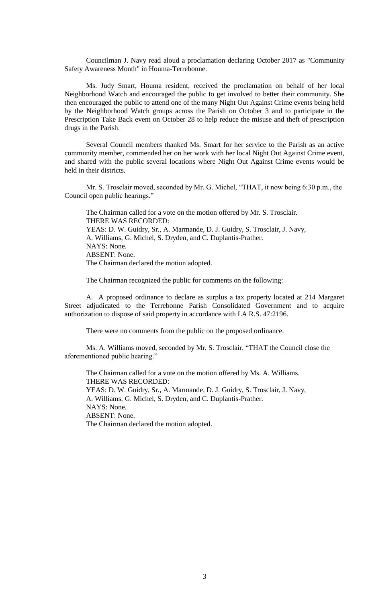Councilman J. Navy read aloud a proclamation declaring October 2017 as "Community Safety Awareness Month" in Houma-Terrebonne.

Ms. Judy Smart, Houma resident, received the proclamation on behalf of her local Neighborhood Watch and encouraged the public to get involved to better their community. She then encouraged the public to attend one of the many Night Out Against Crime events being held by the Neighborhood Watch groups across the Parish on October 3 and to participate in the Prescription Take Back event on October 28 to help reduce the misuse and theft of prescription drugs in the Parish.

Several Council members thanked Ms. Smart for her service to the Parish as an active community member, commended her on her work with her local Night Out Against Crime event, and shared with the public several locations where Night Out Against Crime events would be held in their districts.

Mr. S. Trosclair moved, seconded by Mr. G. Michel, "THAT, it now being 6:30 p.m., the Council open public hearings."

The Chairman called for a vote on the motion offered by Mr. S. Trosclair. THERE WAS RECORDED: YEAS: D. W. Guidry, Sr., A. Marmande, D. J. Guidry, S. Trosclair, J. Navy, A. Williams, G. Michel, S. Dryden, and C. Duplantis-Prather. NAYS: None. ABSENT: None. The Chairman declared the motion adopted.

The Chairman recognized the public for comments on the following:

A. A proposed ordinance to declare as surplus a tax property located at 214 Margaret Street adjudicated to the Terrebonne Parish Consolidated Government and to acquire authorization to dispose of said property in accordance with LA R.S. 47:2196.

There were no comments from the public on the proposed ordinance.

Ms. A. Williams moved, seconded by Mr. S. Trosclair, "THAT the Council close the aforementioned public hearing."

The Chairman called for a vote on the motion offered by Ms. A. Williams. THERE WAS RECORDED: YEAS: D. W. Guidry, Sr., A. Marmande, D. J. Guidry, S. Trosclair, J. Navy, A. Williams, G. Michel, S. Dryden, and C. Duplantis-Prather. NAYS: None. ABSENT: None. The Chairman declared the motion adopted.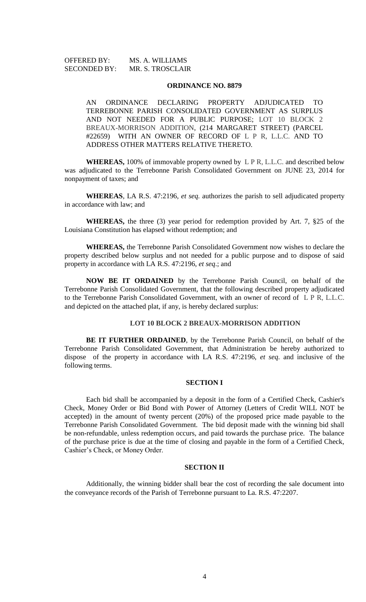OFFERED BY: MS. A. WILLIAMS SECONDED BY: MR. S. TROSCLAIR

#### **ORDINANCE NO. 8879**

AN ORDINANCE DECLARING PROPERTY ADJUDICATED TO TERREBONNE PARISH CONSOLIDATED GOVERNMENT AS SURPLUS AND NOT NEEDED FOR A PUBLIC PURPOSE; LOT 10 BLOCK 2 BREAUX-MORRISON ADDITION, (214 MARGARET STREET) (PARCEL #22659) WITH AN OWNER OF RECORD OF L P R, L.L.C. AND TO ADDRESS OTHER MATTERS RELATIVE THERETO.

**WHEREAS,** 100% of immovable property owned by L P R, L.L.C. and described below was adjudicated to the Terrebonne Parish Consolidated Government on JUNE 23, 2014 for nonpayment of taxes; and

**WHEREAS**, LA R.S. 47:2196, *et seq.* authorizes the parish to sell adjudicated property in accordance with law; and

**WHEREAS,** the three (3) year period for redemption provided by Art. 7, §25 of the Louisiana Constitution has elapsed without redemption; and

**WHEREAS,** the Terrebonne Parish Consolidated Government now wishes to declare the property described below surplus and not needed for a public purpose and to dispose of said property in accordance with LA R.S. 47:2196, *et seq*.; and

**NOW BE IT ORDAINED** by the Terrebonne Parish Council, on behalf of the Terrebonne Parish Consolidated Government, that the following described property adjudicated to the Terrebonne Parish Consolidated Government, with an owner of record of L P R, L.L.C. and depicted on the attached plat, if any, is hereby declared surplus:

### **LOT 10 BLOCK 2 BREAUX-MORRISON ADDITION**

**BE IT FURTHER ORDAINED**, by the Terrebonne Parish Council, on behalf of the Terrebonne Parish Consolidated Government, that Administration be hereby authorized to dispose of the property in accordance with LA R.S. 47:2196, *et seq*. and inclusive of the following terms.

#### **SECTION I**

Each bid shall be accompanied by a deposit in the form of a Certified Check, Cashier's Check, Money Order or Bid Bond with Power of Attorney (Letters of Credit WILL NOT be accepted) in the amount of twenty percent (20%) of the proposed price made payable to the Terrebonne Parish Consolidated Government. The bid deposit made with the winning bid shall be non-refundable, unless redemption occurs, and paid towards the purchase price. The balance of the purchase price is due at the time of closing and payable in the form of a Certified Check, Cashier's Check, or Money Order.

#### **SECTION II**

Additionally, the winning bidder shall bear the cost of recording the sale document into the conveyance records of the Parish of Terrebonne pursuant to La. R.S. 47:2207.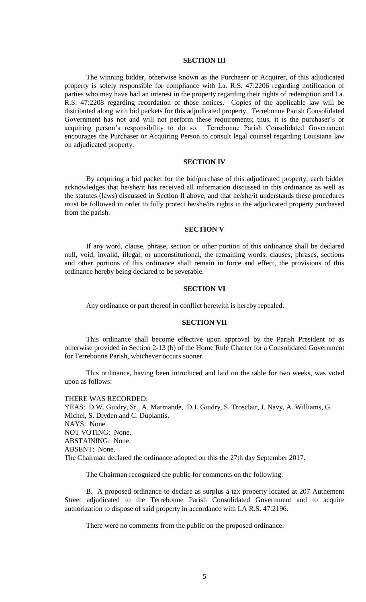### **SECTION III**

The winning bidder, otherwise known as the Purchaser or Acquirer, of this adjudicated property is solely responsible for compliance with La. R.S. 47:2206 regarding notification of parties who may have had an interest in the property regarding their rights of redemption and La. R.S. 47:2208 regarding recordation of those notices. Copies of the applicable law will be distributed along with bid packets for this adjudicated property. Terrebonne Parish Consolidated Government has not and will not perform these requirements; thus, it is the purchaser's or acquiring person's responsibility to do so. Terrebonne Parish Consolidated Government encourages the Purchaser or Acquiring Person to consult legal counsel regarding Louisiana law on adjudicated property.

#### **SECTION IV**

By acquiring a bid packet for the bid/purchase of this adjudicated property, each bidder acknowledges that he/she/it has received all information discussed in this ordinance as well as the statutes (laws) discussed in Section II above, and that he/she/it understands these procedures must be followed in order to fully protect he/she/its rights in the adjudicated property purchased from the parish.

#### **SECTION V**

If any word, clause, phrase, section or other portion of this ordinance shall be declared null, void, invalid, illegal, or unconstitutional, the remaining words, clauses, phrases, sections and other portions of this ordinance shall remain in force and effect, the provisions of this ordinance hereby being declared to be severable.

### **SECTION VI**

Any ordinance or part thereof in conflict herewith is hereby repealed.

### **SECTION VII**

This ordinance shall become effective upon approval by the Parish President or as otherwise provided in Section 2-13 (b) of the Home Rule Charter for a Consolidated Government for Terrebonne Parish, whichever occurs sooner.

This ordinance, having been introduced and laid on the table for two weeks, was voted upon as follows:

THERE WAS RECORDED: YEAS: D.W. Guidry, Sr., A. Marmande, D.J. Guidry, S. Trosclair, J. Navy, A. Williams, G. Michel, S. Dryden and C. Duplantis. NAYS: None. NOT VOTING: None. ABSTAINING: None. ABSENT: None. The Chairman declared the ordinance adopted on this the 27th day September 2017.

The Chairman recognized the public for comments on the following:

B. A proposed ordinance to declare as surplus a tax property located at 207 Authement Street adjudicated to the Terrebonne Parish Consolidated Government and to acquire authorization to dispose of said property in accordance with LA R.S. 47:2196.

There were no comments from the public on the proposed ordinance.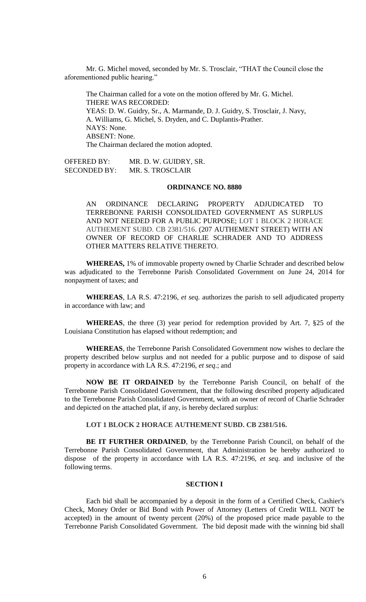Mr. G. Michel moved, seconded by Mr. S. Trosclair, "THAT the Council close the aforementioned public hearing."

The Chairman called for a vote on the motion offered by Mr. G. Michel. THERE WAS RECORDED: YEAS: D. W. Guidry, Sr., A. Marmande, D. J. Guidry, S. Trosclair, J. Navy, A. Williams, G. Michel, S. Dryden, and C. Duplantis-Prather. NAYS: None. ABSENT: None. The Chairman declared the motion adopted.

OFFERED BY: MR. D. W. GUIDRY, SR. SECONDED BY: MR. S. TROSCLAIR

# **ORDINANCE NO. 8880**

AN ORDINANCE DECLARING PROPERTY ADJUDICATED TO TERREBONNE PARISH CONSOLIDATED GOVERNMENT AS SURPLUS AND NOT NEEDED FOR A PUBLIC PURPOSE; LOT 1 BLOCK 2 HORACE AUTHEMENT SUBD. CB 2381/516. (207 AUTHEMENT STREET) WITH AN OWNER OF RECORD OF CHARLIE SCHRADER AND TO ADDRESS OTHER MATTERS RELATIVE THERETO.

**WHEREAS,** 1% of immovable property owned by Charlie Schrader and described below was adjudicated to the Terrebonne Parish Consolidated Government on June 24, 2014 for nonpayment of taxes; and

**WHEREAS**, LA R.S. 47:2196, *et seq.* authorizes the parish to sell adjudicated property in accordance with law; and

**WHEREAS**, the three (3) year period for redemption provided by Art. 7, §25 of the Louisiana Constitution has elapsed without redemption; and

**WHEREAS**, the Terrebonne Parish Consolidated Government now wishes to declare the property described below surplus and not needed for a public purpose and to dispose of said property in accordance with LA R.S. 47:2196, *et seq*.; and

**NOW BE IT ORDAINED** by the Terrebonne Parish Council, on behalf of the Terrebonne Parish Consolidated Government, that the following described property adjudicated to the Terrebonne Parish Consolidated Government, with an owner of record of Charlie Schrader and depicted on the attached plat, if any, is hereby declared surplus:

### **LOT 1 BLOCK 2 HORACE AUTHEMENT SUBD. CB 2381/516.**

**BE IT FURTHER ORDAINED**, by the Terrebonne Parish Council, on behalf of the Terrebonne Parish Consolidated Government, that Administration be hereby authorized to dispose of the property in accordance with LA R.S. 47:2196, *et seq*. and inclusive of the following terms.

#### **SECTION I**

Each bid shall be accompanied by a deposit in the form of a Certified Check, Cashier's Check, Money Order or Bid Bond with Power of Attorney (Letters of Credit WILL NOT be accepted) in the amount of twenty percent (20%) of the proposed price made payable to the Terrebonne Parish Consolidated Government. The bid deposit made with the winning bid shall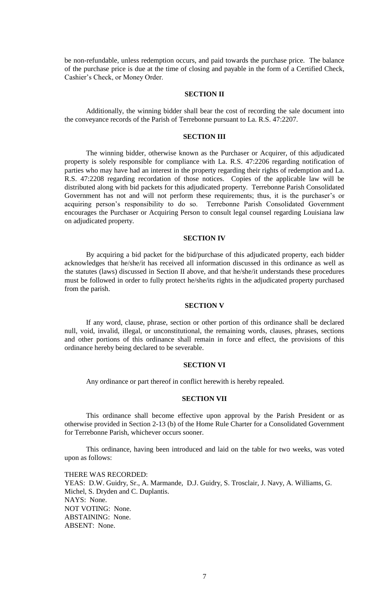be non-refundable, unless redemption occurs, and paid towards the purchase price. The balance of the purchase price is due at the time of closing and payable in the form of a Certified Check, Cashier's Check, or Money Order.

### **SECTION II**

Additionally, the winning bidder shall bear the cost of recording the sale document into the conveyance records of the Parish of Terrebonne pursuant to La. R.S. 47:2207.

### **SECTION III**

The winning bidder, otherwise known as the Purchaser or Acquirer, of this adjudicated property is solely responsible for compliance with La. R.S. 47:2206 regarding notification of parties who may have had an interest in the property regarding their rights of redemption and La. R.S. 47:2208 regarding recordation of those notices. Copies of the applicable law will be distributed along with bid packets for this adjudicated property. Terrebonne Parish Consolidated Government has not and will not perform these requirements; thus, it is the purchaser's or acquiring person's responsibility to do so. Terrebonne Parish Consolidated Government encourages the Purchaser or Acquiring Person to consult legal counsel regarding Louisiana law on adjudicated property.

### **SECTION IV**

By acquiring a bid packet for the bid/purchase of this adjudicated property, each bidder acknowledges that he/she/it has received all information discussed in this ordinance as well as the statutes (laws) discussed in Section II above, and that he/she/it understands these procedures must be followed in order to fully protect he/she/its rights in the adjudicated property purchased from the parish.

### **SECTION V**

If any word, clause, phrase, section or other portion of this ordinance shall be declared null, void, invalid, illegal, or unconstitutional, the remaining words, clauses, phrases, sections and other portions of this ordinance shall remain in force and effect, the provisions of this ordinance hereby being declared to be severable.

#### **SECTION VI**

Any ordinance or part thereof in conflict herewith is hereby repealed.

### **SECTION VII**

This ordinance shall become effective upon approval by the Parish President or as otherwise provided in Section 2-13 (b) of the Home Rule Charter for a Consolidated Government for Terrebonne Parish, whichever occurs sooner.

This ordinance, having been introduced and laid on the table for two weeks, was voted upon as follows:

THERE WAS RECORDED: YEAS: D.W. Guidry, Sr., A. Marmande, D.J. Guidry, S. Trosclair, J. Navy, A. Williams, G. Michel, S. Dryden and C. Duplantis. NAYS: None. NOT VOTING: None. ABSTAINING: None. ABSENT: None.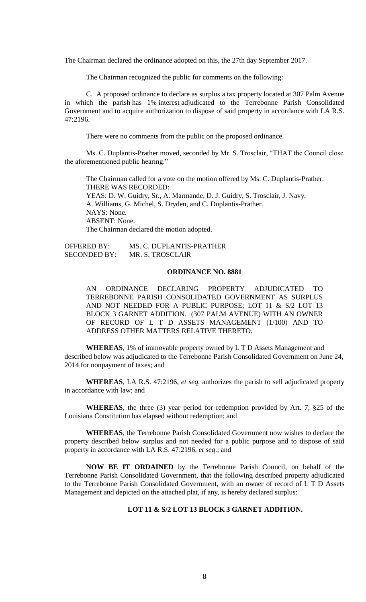The Chairman declared the ordinance adopted on this, the 27th day September 2017.

The Chairman recognized the public for comments on the following:

C. A proposed ordinance to declare as surplus a tax property located at 307 Palm Avenue in which the parish has 1% interest adjudicated to the Terrebonne Parish Consolidated Government and to acquire authorization to dispose of said property in accordance with LA R.S. 47:2196.

There were no comments from the public on the proposed ordinance.

Ms. C. Duplantis-Prather moved, seconded by Mr. S. Trosclair, "THAT the Council close the aforementioned public hearing."

The Chairman called for a vote on the motion offered by Ms. C. Duplantis-Prather. THERE WAS RECORDED: YEAS: D. W. Guidry, Sr., A. Marmande, D. J. Guidry, S. Trosclair, J. Navy, A. Williams, G. Michel, S. Dryden, and C. Duplantis-Prather. NAYS: None. ABSENT: None. The Chairman declared the motion adopted.

OFFERED BY: MS. C. DUPLANTIS-PRATHER SECONDED BY: MR. S. TROSCLAIR

### **ORDINANCE NO. 8881**

AN ORDINANCE DECLARING PROPERTY ADJUDICATED TO TERREBONNE PARISH CONSOLIDATED GOVERNMENT AS SURPLUS AND NOT NEEDED FOR A PUBLIC PURPOSE; LOT 11 & S/2 LOT 13 BLOCK 3 GARNET ADDITION. (307 PALM AVENUE) WITH AN OWNER OF RECORD OF L T D ASSETS MANAGEMENT (1/100) AND TO ADDRESS OTHER MATTERS RELATIVE THERETO.

**WHEREAS**, 1% of immovable property owned by L T D Assets Management and described below was adjudicated to the Terrebonne Parish Consolidated Government on June 24, 2014 for nonpayment of taxes; and

**WHEREAS**, LA R.S. 47:2196, *et seq.* authorizes the parish to sell adjudicated property in accordance with law; and

**WHEREAS**, the three (3) year period for redemption provided by Art. 7, §25 of the Louisiana Constitution has elapsed without redemption; and

**WHEREAS**, the Terrebonne Parish Consolidated Government now wishes to declare the property described below surplus and not needed for a public purpose and to dispose of said property in accordance with LA R.S. 47:2196, *et seq*.; and

**NOW BE IT ORDAINED** by the Terrebonne Parish Council, on behalf of the Terrebonne Parish Consolidated Government, that the following described property adjudicated to the Terrebonne Parish Consolidated Government, with an owner of record of L T D Assets Management and depicted on the attached plat, if any, is hereby declared surplus:

### **LOT 11 & S/2 LOT 13 BLOCK 3 GARNET ADDITION.**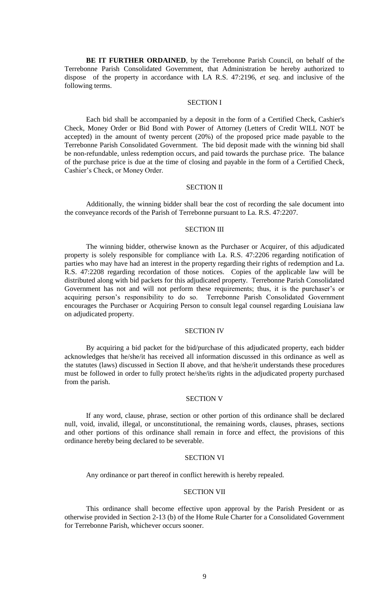**BE IT FURTHER ORDAINED**, by the Terrebonne Parish Council, on behalf of the Terrebonne Parish Consolidated Government, that Administration be hereby authorized to dispose of the property in accordance with LA R.S. 47:2196, *et seq*. and inclusive of the following terms.

#### SECTION I

Each bid shall be accompanied by a deposit in the form of a Certified Check, Cashier's Check, Money Order or Bid Bond with Power of Attorney (Letters of Credit WILL NOT be accepted) in the amount of twenty percent (20%) of the proposed price made payable to the Terrebonne Parish Consolidated Government. The bid deposit made with the winning bid shall be non-refundable, unless redemption occurs, and paid towards the purchase price. The balance of the purchase price is due at the time of closing and payable in the form of a Certified Check, Cashier's Check, or Money Order.

#### SECTION II

Additionally, the winning bidder shall bear the cost of recording the sale document into the conveyance records of the Parish of Terrebonne pursuant to La. R.S. 47:2207.

### SECTION III

The winning bidder, otherwise known as the Purchaser or Acquirer, of this adjudicated property is solely responsible for compliance with La. R.S. 47:2206 regarding notification of parties who may have had an interest in the property regarding their rights of redemption and La. R.S. 47:2208 regarding recordation of those notices. Copies of the applicable law will be distributed along with bid packets for this adjudicated property. Terrebonne Parish Consolidated Government has not and will not perform these requirements; thus, it is the purchaser's or acquiring person's responsibility to do so. Terrebonne Parish Consolidated Government encourages the Purchaser or Acquiring Person to consult legal counsel regarding Louisiana law on adjudicated property.

### SECTION IV

By acquiring a bid packet for the bid/purchase of this adjudicated property, each bidder acknowledges that he/she/it has received all information discussed in this ordinance as well as the statutes (laws) discussed in Section II above, and that he/she/it understands these procedures must be followed in order to fully protect he/she/its rights in the adjudicated property purchased from the parish.

### SECTION V

If any word, clause, phrase, section or other portion of this ordinance shall be declared null, void, invalid, illegal, or unconstitutional, the remaining words, clauses, phrases, sections and other portions of this ordinance shall remain in force and effect, the provisions of this ordinance hereby being declared to be severable.

### SECTION VI

Any ordinance or part thereof in conflict herewith is hereby repealed.

### SECTION VII

This ordinance shall become effective upon approval by the Parish President or as otherwise provided in Section 2-13 (b) of the Home Rule Charter for a Consolidated Government for Terrebonne Parish, whichever occurs sooner.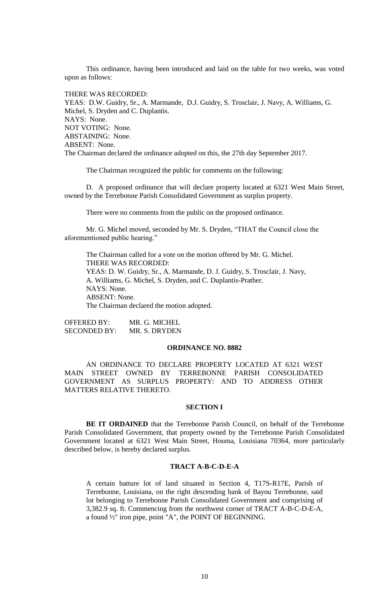This ordinance, having been introduced and laid on the table for two weeks, was voted upon as follows:

THERE WAS RECORDED:

YEAS: D.W. Guidry, Sr., A. Marmande, D.J. Guidry, S. Trosclair, J. Navy, A. Williams, G. Michel, S. Dryden and C. Duplantis. NAYS: None. NOT VOTING: None. ABSTAINING: None. ABSENT: None. The Chairman declared the ordinance adopted on this, the 27th day September 2017.

The Chairman recognized the public for comments on the following:

D. A proposed ordinance that will declare property located at 6321 West Main Street, owned by the Terrebonne Parish Consolidated Government as surplus property.

There were no comments from the public on the proposed ordinance.

Mr. G. Michel moved, seconded by Mr. S. Dryden, "THAT the Council close the aforementioned public hearing."

The Chairman called for a vote on the motion offered by Mr. G. Michel. THERE WAS RECORDED: YEAS: D. W. Guidry, Sr., A. Marmande, D. J. Guidry, S. Trosclair, J. Navy, A. Williams, G. Michel, S. Dryden, and C. Duplantis-Prather. NAYS: None. ABSENT: None. The Chairman declared the motion adopted.

OFFERED BY: MR. G. MICHEL SECONDED BY: MR. S. DRYDEN

### **ORDINANCE NO. 8882**

AN ORDINANCE TO DECLARE PROPERTY LOCATED AT 6321 WEST MAIN STREET OWNED BY TERREBONNE PARISH CONSOLIDATED GOVERNMENT AS SURPLUS PROPERTY: AND TO ADDRESS OTHER MATTERS RELATIVE THERETO.

#### **SECTION I**

**BE IT ORDAINED** that the Terrebonne Parish Council, on behalf of the Terrebonne Parish Consolidated Government, that property owned by the Terrebonne Parish Consolidated Government located at 6321 West Main Street, Houma, Louisiana 70364, more particularly described below, is hereby declared surplus.

# **TRACT A-B-C-D-E-A**

A certain batture lot of land situated in Section 4, T17S-R17E, Parish of Terrebonne, Louisiana, on the right descending bank of Bayou Terrebonne, said lot belonging to Terrebonne Parish Consolidated Government and comprising of 3,382.9 sq. ft. Commencing from the northwest corner of TRACT A-B-C-D-E-A, a found ½" iron pipe, point "A", the POINT OF BEGINNING.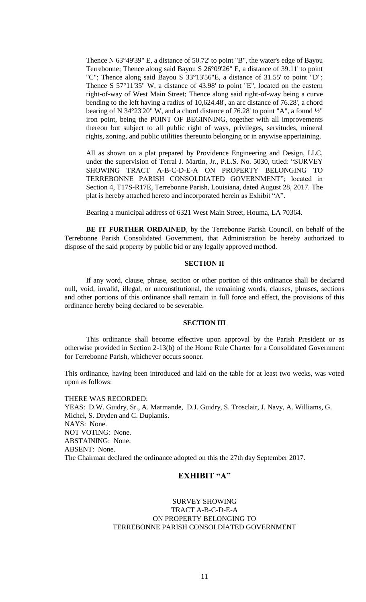Thence N 63°49'39" E, a distance of 50.72' to point "B", the water's edge of Bayou Terrebonne; Thence along said Bayou S 26°09'26" E, a distance of 39.11' to point "C"; Thence along said Bayou S 33°13'56"E, a distance of 31.55' to point "D"; Thence S 57°11'35" W, a distance of 43.98' to point "E", located on the eastern right-of-way of West Main Street; Thence along said right-of-way being a curve bending to the left having a radius of 10,624.48', an arc distance of 76.28', a chord bearing of N 34°23'20" W, and a chord distance of 76.28' to point "A", a found ½" iron point, being the POINT OF BEGINNING, together with all improvements thereon but subject to all public right of ways, privileges, servitudes, mineral rights, zoning, and public utilities thereunto belonging or in anywise appertaining.

All as shown on a plat prepared by Providence Engineering and Design, LLC, under the supervision of Terral J. Martin, Jr., P.L.S. No. 5030, titled: "SURVEY SHOWING TRACT A-B-C-D-E-A ON PROPERTY BELONGING TO TERREBONNE PARISH CONSOLDIATED GOVERNMENT"; located in Section 4, T17S-R17E, Terrebonne Parish, Louisiana, dated August 28, 2017. The plat is hereby attached hereto and incorporated herein as Exhibit "A".

Bearing a municipal address of 6321 West Main Street, Houma, LA 70364.

**BE IT FURTHER ORDAINED**, by the Terrebonne Parish Council, on behalf of the Terrebonne Parish Consolidated Government, that Administration be hereby authorized to dispose of the said property by public bid or any legally approved method.

### **SECTION II**

If any word, clause, phrase, section or other portion of this ordinance shall be declared null, void, invalid, illegal, or unconstitutional, the remaining words, clauses, phrases, sections and other portions of this ordinance shall remain in full force and effect, the provisions of this ordinance hereby being declared to be severable.

### **SECTION III**

This ordinance shall become effective upon approval by the Parish President or as otherwise provided in Section 2-13(b) of the Home Rule Charter for a Consolidated Government for Terrebonne Parish, whichever occurs sooner.

This ordinance, having been introduced and laid on the table for at least two weeks, was voted upon as follows:

THERE WAS RECORDED: YEAS: D.W. Guidry, Sr., A. Marmande, D.J. Guidry, S. Trosclair, J. Navy, A. Williams, G. Michel, S. Dryden and C. Duplantis. NAYS: None. NOT VOTING: None. ABSTAINING: None. ABSENT: None. The Chairman declared the ordinance adopted on this the 27th day September 2017.

# **EXHIBIT "A"**

# SURVEY SHOWING TRACT A-B-C-D-E-A ON PROPERTY BELONGING TO TERREBONNE PARISH CONSOLDIATED GOVERNMENT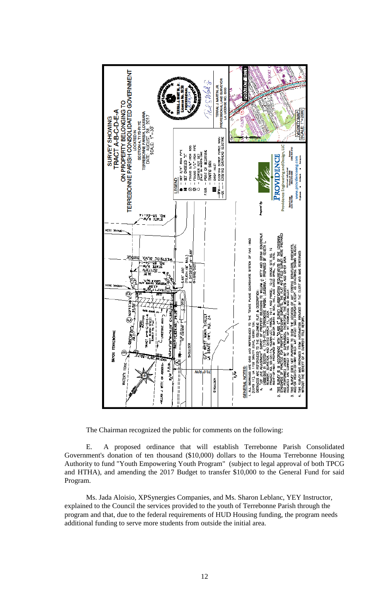

The Chairman recognized the public for comments on the following:

E. A proposed ordinance that will establish Terrebonne Parish Consolidated Government's donation of ten thousand (\$10,000) dollars to the Houma Terrebonne Housing Authority to fund "Youth Empowering Youth Program" (subject to legal approval of both TPCG and HTHA), and amending the 2017 Budget to transfer \$10,000 to the General Fund for said Program.

Ms. Jada Aloisio, XPSynergies Companies, and Ms. Sharon Leblanc, YEY Instructor, explained to the Council the services provided to the youth of Terrebonne Parish through the program and that, due to the federal requirements of HUD Housing funding, the program needs additional funding to serve more students from outside the initial area.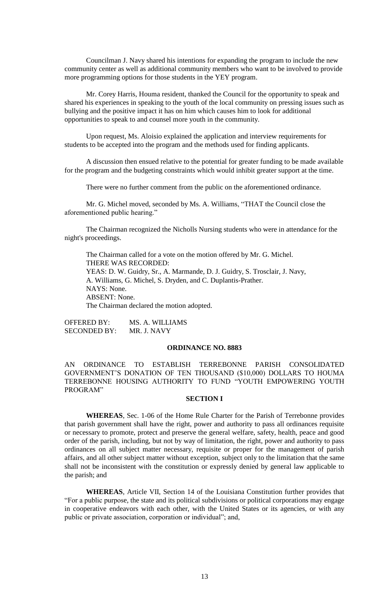Councilman J. Navy shared his intentions for expanding the program to include the new community center as well as additional community members who want to be involved to provide more programming options for those students in the YEY program.

Mr. Corey Harris, Houma resident, thanked the Council for the opportunity to speak and shared his experiences in speaking to the youth of the local community on pressing issues such as bullying and the positive impact it has on him which causes him to look for additional opportunities to speak to and counsel more youth in the community.

Upon request, Ms. Aloisio explained the application and interview requirements for students to be accepted into the program and the methods used for finding applicants.

A discussion then ensued relative to the potential for greater funding to be made available for the program and the budgeting constraints which would inhibit greater support at the time.

There were no further comment from the public on the aforementioned ordinance.

Mr. G. Michel moved, seconded by Ms. A. Williams, "THAT the Council close the aforementioned public hearing."

The Chairman recognized the Nicholls Nursing students who were in attendance for the night's proceedings.

The Chairman called for a vote on the motion offered by Mr. G. Michel. THERE WAS RECORDED: YEAS: D. W. Guidry, Sr., A. Marmande, D. J. Guidry, S. Trosclair, J. Navy, A. Williams, G. Michel, S. Dryden, and C. Duplantis-Prather. NAYS: None. ABSENT: None. The Chairman declared the motion adopted.

OFFERED BY: MS. A. WILLIAMS SECONDED BY: MR. J. NAVY

### **ORDINANCE NO. 8883**

AN ORDINANCE TO ESTABLISH TERREBONNE PARISH CONSOLIDATED GOVERNMENT'S DONATION OF TEN THOUSAND (\$10,000) DOLLARS TO HOUMA TERREBONNE HOUSING AUTHORITY TO FUND "YOUTH EMPOWERING YOUTH PROGRAM"

# **SECTION I**

**WHEREAS**, Sec. 1-06 of the Home Rule Charter for the Parish of Terrebonne provides that parish government shall have the right, power and authority to pass all ordinances requisite or necessary to promote, protect and preserve the general welfare, safety, health, peace and good order of the parish, including, but not by way of limitation, the right, power and authority to pass ordinances on all subject matter necessary, requisite or proper for the management of parish affairs, and all other subject matter without exception, subject only to the limitation that the same shall not be inconsistent with the constitution or expressly denied by general law applicable to the parish; and

**WHEREAS**, Article VII, Section 14 of the Louisiana Constitution further provides that "For a public purpose, the state and its political subdivisions or political corporations may engage in cooperative endeavors with each other, with the United States or its agencies, or with any public or private association, corporation or individual"; and,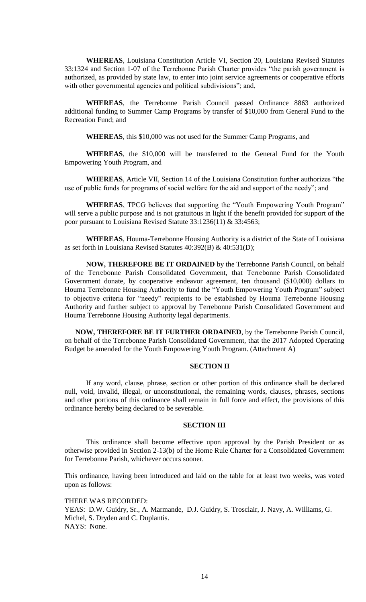**WHEREAS**, Louisiana Constitution Article VI, Section 20, Louisiana Revised Statutes 33:1324 and Section 1-07 of the Terrebonne Parish Charter provides "the parish government is authorized, as provided by state law, to enter into joint service agreements or cooperative efforts with other governmental agencies and political subdivisions"; and,

**WHEREAS**, the Terrebonne Parish Council passed Ordinance 8863 authorized additional funding to Summer Camp Programs by transfer of \$10,000 from General Fund to the Recreation Fund; and

**WHEREAS**, this \$10,000 was not used for the Summer Camp Programs, and

**WHEREAS**, the \$10,000 will be transferred to the General Fund for the Youth Empowering Youth Program, and

**WHEREAS**, Article VII, Section 14 of the Louisiana Constitution further authorizes "the use of public funds for programs of social welfare for the aid and support of the needy"; and

**WHEREAS**, TPCG believes that supporting the "Youth Empowering Youth Program" will serve a public purpose and is not gratuitous in light if the benefit provided for support of the poor pursuant to Louisiana Revised Statute 33:1236(11) & 33:4563;

**WHEREAS**, Houma-Terrebonne Housing Authority is a district of the State of Louisiana as set forth in Louisiana Revised Statutes 40:392(B) & 40:531(D);

**NOW, THEREFORE BE IT ORDAINED** by the Terrebonne Parish Council, on behalf of the Terrebonne Parish Consolidated Government, that Terrebonne Parish Consolidated Government donate, by cooperative endeavor agreement, ten thousand (\$10,000) dollars to Houma Terrebonne Housing Authority to fund the "Youth Empowering Youth Program" subject to objective criteria for "needy" recipients to be established by Houma Terrebonne Housing Authority and further subject to approval by Terrebonne Parish Consolidated Government and Houma Terrebonne Housing Authority legal departments.

**NOW, THEREFORE BE IT FURTHER ORDAINED**, by the Terrebonne Parish Council, on behalf of the Terrebonne Parish Consolidated Government, that the 2017 Adopted Operating Budget be amended for the Youth Empowering Youth Program. (Attachment A)

# **SECTION II**

If any word, clause, phrase, section or other portion of this ordinance shall be declared null, void, invalid, illegal, or unconstitutional, the remaining words, clauses, phrases, sections and other portions of this ordinance shall remain in full force and effect, the provisions of this ordinance hereby being declared to be severable.

#### **SECTION III**

This ordinance shall become effective upon approval by the Parish President or as otherwise provided in Section 2-13(b) of the Home Rule Charter for a Consolidated Government for Terrebonne Parish, whichever occurs sooner.

This ordinance, having been introduced and laid on the table for at least two weeks, was voted upon as follows:

THERE WAS RECORDED: YEAS: D.W. Guidry, Sr., A. Marmande, D.J. Guidry, S. Trosclair, J. Navy, A. Williams, G. Michel, S. Dryden and C. Duplantis. NAYS: None.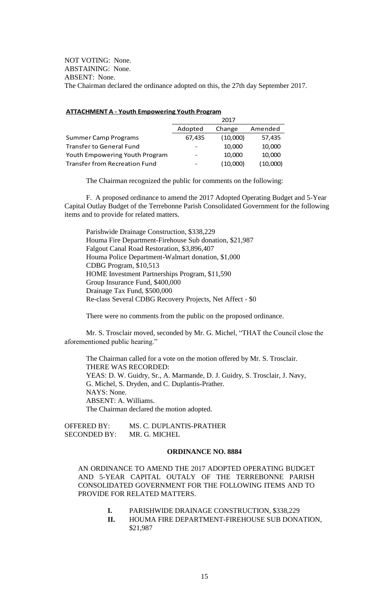NOT VOTING: None. ABSTAINING: None. ABSENT: None. The Chairman declared the ordinance adopted on this, the 27th day September 2017.

#### **ATTACHMENT A - Youth Empowering Youth Program**

|                                      | 2017                     |          |          |
|--------------------------------------|--------------------------|----------|----------|
|                                      | Adopted                  | Change   | Amended  |
| <b>Summer Camp Programs</b>          | 67,435                   | (10,000) | 57,435   |
| <b>Transfer to General Fund</b>      |                          | 10,000   | 10,000   |
| Youth Empowering Youth Program       | $\overline{\phantom{a}}$ | 10,000   | 10,000   |
| <b>Transfer from Recreation Fund</b> |                          | (10,000) | (10,000) |

The Chairman recognized the public for comments on the following:

F. A proposed ordinance to amend the 2017 Adopted Operating Budget and 5-Year Capital Outlay Budget of the Terrebonne Parish Consolidated Government for the following items and to provide for related matters.

Parishwide Drainage Construction, \$338,229 Houma Fire Department-Firehouse Sub donation, \$21,987 Falgout Canal Road Restoration, \$3,896,407 Houma Police Department-Walmart donation, \$1,000 CDBG Program, \$10,513 HOME Investment Partnerships Program, \$11,590 Group Insurance Fund, \$400,000 Drainage Tax Fund, \$500,000 Re-class Several CDBG Recovery Projects, Net Affect - \$0

There were no comments from the public on the proposed ordinance.

Mr. S. Trosclair moved, seconded by Mr. G. Michel, "THAT the Council close the aforementioned public hearing."

The Chairman called for a vote on the motion offered by Mr. S. Trosclair. THERE WAS RECORDED: YEAS: D. W. Guidry, Sr., A. Marmande, D. J. Guidry, S. Trosclair, J. Navy, G. Michel, S. Dryden, and C. Duplantis-Prather. NAYS: None. ABSENT: A. Williams. The Chairman declared the motion adopted.

OFFERED BY: MS. C. DUPLANTIS-PRATHER SECONDED BY: MR. G. MICHEL

# **ORDINANCE NO. 8884**

AN ORDINANCE TO AMEND THE 2017 ADOPTED OPERATING BUDGET AND 5-YEAR CAPITAL OUTALY OF THE TERREBONNE PARISH CONSOLIDATED GOVERNMENT FOR THE FOLLOWING ITEMS AND TO PROVIDE FOR RELATED MATTERS.

- **I.** PARISHWIDE DRAINAGE CONSTRUCTION, \$338,229
- **II.** HOUMA FIRE DEPARTMENT-FIREHOUSE SUB DONATION, \$21,987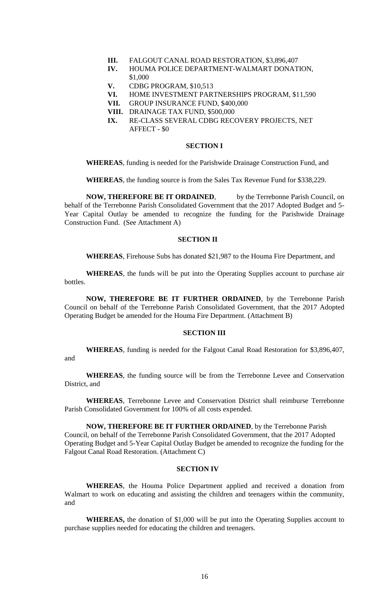- **III.** FALGOUT CANAL ROAD RESTORATION, \$3,896,407
- **IV.** HOUMA POLICE DEPARTMENT-WALMART DONATION, \$1,000
- **V.** CDBG PROGRAM, \$10,513
- **VI.** HOME INVESTMENT PARTNERSHIPS PROGRAM, \$11,590
- **VII.** GROUP INSURANCE FUND, \$400,000
- **VIII.** DRAINAGE TAX FUND, \$500,000
- **IX.** RE-CLASS SEVERAL CDBG RECOVERY PROJECTS, NET AFFECT - \$0

### **SECTION I**

**WHEREAS**, funding is needed for the Parishwide Drainage Construction Fund, and

**WHEREAS**, the funding source is from the Sales Tax Revenue Fund for \$338,229.

**NOW, THEREFORE BE IT ORDAINED.** by the Terrebonne Parish Council, on behalf of the Terrebonne Parish Consolidated Government that the 2017 Adopted Budget and 5- Year Capital Outlay be amended to recognize the funding for the Parishwide Drainage Construction Fund. (See Attachment A)

# **SECTION II**

**WHEREAS**, Firehouse Subs has donated \$21,987 to the Houma Fire Department, and

**WHEREAS**, the funds will be put into the Operating Supplies account to purchase air bottles.

**NOW, THEREFORE BE IT FURTHER ORDAINED**, by the Terrebonne Parish Council on behalf of the Terrebonne Parish Consolidated Government, that the 2017 Adopted Operating Budget be amended for the Houma Fire Department. (Attachment B)

#### **SECTION III**

**WHEREAS**, funding is needed for the Falgout Canal Road Restoration for \$3,896,407, and

**WHEREAS**, the funding source will be from the Terrebonne Levee and Conservation District, and

**WHEREAS**, Terrebonne Levee and Conservation District shall reimburse Terrebonne Parish Consolidated Government for 100% of all costs expended.

**NOW, THEREFORE BE IT FURTHER ORDAINED**, by the Terrebonne Parish Council, on behalf of the Terrebonne Parish Consolidated Government, that the 2017 Adopted Operating Budget and 5-Year Capital Outlay Budget be amended to recognize the funding for the Falgout Canal Road Restoration. (Attachment C)

### **SECTION IV**

**WHEREAS**, the Houma Police Department applied and received a donation from Walmart to work on educating and assisting the children and teenagers within the community, and

**WHEREAS,** the donation of \$1,000 will be put into the Operating Supplies account to purchase supplies needed for educating the children and teenagers.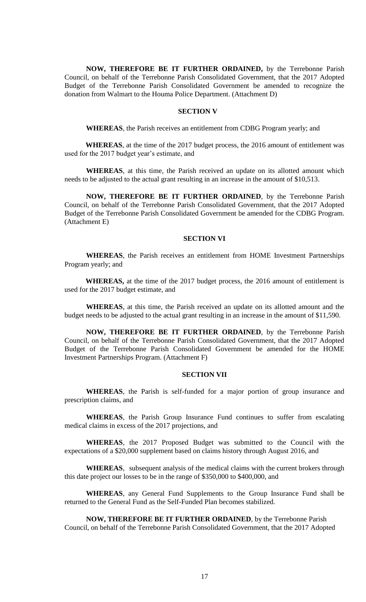**NOW, THEREFORE BE IT FURTHER ORDAINED,** by the Terrebonne Parish Council, on behalf of the Terrebonne Parish Consolidated Government, that the 2017 Adopted Budget of the Terrebonne Parish Consolidated Government be amended to recognize the donation from Walmart to the Houma Police Department. (Attachment D)

## **SECTION V**

**WHEREAS**, the Parish receives an entitlement from CDBG Program yearly; and

**WHEREAS**, at the time of the 2017 budget process, the 2016 amount of entitlement was used for the 2017 budget year's estimate, and

**WHEREAS**, at this time, the Parish received an update on its allotted amount which needs to be adjusted to the actual grant resulting in an increase in the amount of \$10,513.

**NOW, THEREFORE BE IT FURTHER ORDAINED**, by the Terrebonne Parish Council, on behalf of the Terrebonne Parish Consolidated Government, that the 2017 Adopted Budget of the Terrebonne Parish Consolidated Government be amended for the CDBG Program. (Attachment E)

### **SECTION VI**

**WHEREAS**, the Parish receives an entitlement from HOME Investment Partnerships Program yearly; and

**WHEREAS,** at the time of the 2017 budget process, the 2016 amount of entitlement is used for the 2017 budget estimate, and

**WHEREAS**, at this time, the Parish received an update on its allotted amount and the budget needs to be adjusted to the actual grant resulting in an increase in the amount of \$11,590.

**NOW, THEREFORE BE IT FURTHER ORDAINED**, by the Terrebonne Parish Council, on behalf of the Terrebonne Parish Consolidated Government, that the 2017 Adopted Budget of the Terrebonne Parish Consolidated Government be amended for the HOME Investment Partnerships Program. (Attachment F)

### **SECTION VII**

**WHEREAS**, the Parish is self-funded for a major portion of group insurance and prescription claims, and

**WHEREAS**, the Parish Group Insurance Fund continues to suffer from escalating medical claims in excess of the 2017 projections, and

**WHEREAS**, the 2017 Proposed Budget was submitted to the Council with the expectations of a \$20,000 supplement based on claims history through August 2016, and

**WHEREAS**, subsequent analysis of the medical claims with the current brokers through this date project our losses to be in the range of \$350,000 to \$400,000, and

**WHEREAS**, any General Fund Supplements to the Group Insurance Fund shall be returned to the General Fund as the Self-Funded Plan becomes stabilized.

**NOW, THEREFORE BE IT FURTHER ORDAINED**, by the Terrebonne Parish Council, on behalf of the Terrebonne Parish Consolidated Government, that the 2017 Adopted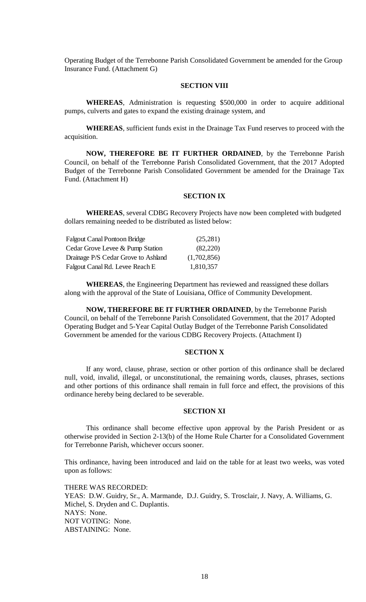Operating Budget of the Terrebonne Parish Consolidated Government be amended for the Group Insurance Fund. (Attachment G)

## **SECTION VIII**

**WHEREAS**, Administration is requesting \$500,000 in order to acquire additional pumps, culverts and gates to expand the existing drainage system, and

**WHEREAS**, sufficient funds exist in the Drainage Tax Fund reserves to proceed with the acquisition.

**NOW, THEREFORE BE IT FURTHER ORDAINED**, by the Terrebonne Parish Council, on behalf of the Terrebonne Parish Consolidated Government, that the 2017 Adopted Budget of the Terrebonne Parish Consolidated Government be amended for the Drainage Tax Fund. (Attachment H)

### **SECTION IX**

**WHEREAS**, several CDBG Recovery Projects have now been completed with budgeted dollars remaining needed to be distributed as listed below:

| <b>Falgout Canal Pontoon Bridge</b> | (25, 281)   |
|-------------------------------------|-------------|
| Cedar Grove Levee & Pump Station    | (82,220)    |
| Drainage P/S Cedar Grove to Ashland | (1,702,856) |
| Falgout Canal Rd. Levee Reach E     | 1,810,357   |

**WHEREAS**, the Engineering Department has reviewed and reassigned these dollars along with the approval of the State of Louisiana, Office of Community Development.

**NOW, THEREFORE BE IT FURTHER ORDAINED**, by the Terrebonne Parish Council, on behalf of the Terrebonne Parish Consolidated Government, that the 2017 Adopted Operating Budget and 5-Year Capital Outlay Budget of the Terrebonne Parish Consolidated Government be amended for the various CDBG Recovery Projects. (Attachment I)

# **SECTION X**

If any word, clause, phrase, section or other portion of this ordinance shall be declared null, void, invalid, illegal, or unconstitutional, the remaining words, clauses, phrases, sections and other portions of this ordinance shall remain in full force and effect, the provisions of this ordinance hereby being declared to be severable.

### **SECTION XI**

This ordinance shall become effective upon approval by the Parish President or as otherwise provided in Section 2-13(b) of the Home Rule Charter for a Consolidated Government for Terrebonne Parish, whichever occurs sooner.

This ordinance, having been introduced and laid on the table for at least two weeks, was voted upon as follows:

THERE WAS RECORDED: YEAS: D.W. Guidry, Sr., A. Marmande, D.J. Guidry, S. Trosclair, J. Navy, A. Williams, G. Michel, S. Dryden and C. Duplantis. NAYS: None. NOT VOTING: None. ABSTAINING: None.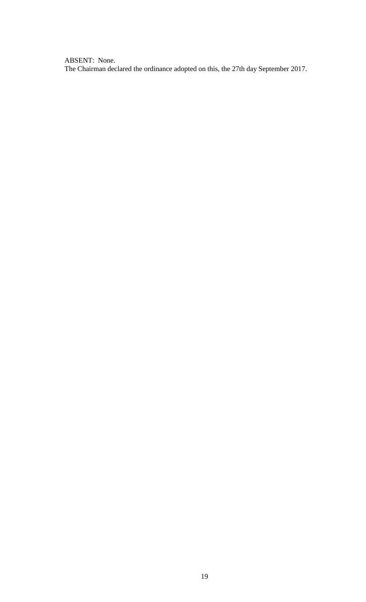ABSENT: None. The Chairman declared the ordinance adopted on this, the 27th day September 2017.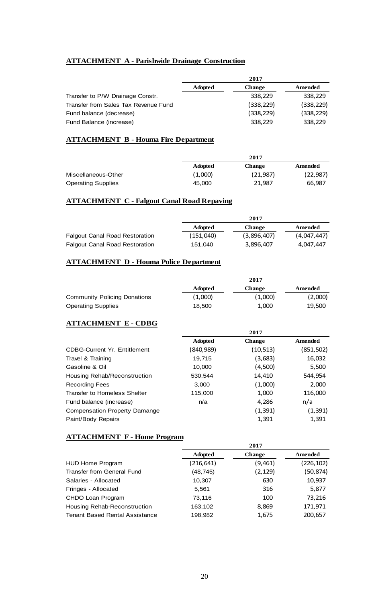# **ATTACHMENT A - Parishwide Drainage Construction**

| 2017           |               |            |
|----------------|---------------|------------|
| <b>Adopted</b> | <b>Change</b> | Amended    |
|                | 338,229       | 338,229    |
|                | (338, 229)    | (338, 229) |
|                | (338, 229)    | (338, 229) |
|                | 338,229       | 338,229    |
|                |               |            |

# **ATTACHMENT B - Houma Fire Department**

|                           | 2017           |           |           |
|---------------------------|----------------|-----------|-----------|
|                           | <b>Adopted</b> | Change    | Amended   |
| Miscellaneous-Other       | (1,000)        | (21, 987) | (22, 987) |
| <b>Operating Supplies</b> | 45.000         | 21,987    | 66,987    |

# **ATTACHMENT C - Falgout Canal Road Repaving**

|                                       | 2017           |               |             |
|---------------------------------------|----------------|---------------|-------------|
|                                       | <b>Adopted</b> | <b>Change</b> | Amended     |
| <b>Falgout Canal Road Restoration</b> | (151,040)      | (3,896,407)   | (4,047,447) |
| <b>Falgout Canal Road Restoration</b> | 151.040        | 3.896.407     | 4.047.447   |

# **ATTACHMENT D - Houma Police Department**

|                                     | 2017           |               |         |
|-------------------------------------|----------------|---------------|---------|
|                                     | <b>Adopted</b> | <b>Change</b> | Amended |
| <b>Community Policing Donations</b> | (1,000)        | (1,000)       | (2,000) |
| <b>Operating Supplies</b>           | 18.500         | 1,000         | 19,500  |

# **ATTACHMENT E - CDBG**

|                                      |                | 2017          |            |
|--------------------------------------|----------------|---------------|------------|
|                                      | <b>Adopted</b> | <b>Change</b> | Amended    |
| <b>CDBG-Current Yr. Entitlement</b>  | (840,989)      | (10, 513)     | (851, 502) |
| Travel & Training                    | 19.715         | (3,683)       | 16,032     |
| Gasoline & Oil                       | 10.000         | (4,500)       | 5,500      |
| Housing Rehab/Reconstruction         | 530.544        | 14,410        | 544.954    |
| <b>Recording Fees</b>                | 3.000          | (1,000)       | 2,000      |
| <b>Transfer to Homeless Shelter</b>  | 115,000        | 1,000         | 116,000    |
| Fund balance (increase)              | n/a            | 4,286         | n/a        |
| <b>Compensation Property Damange</b> |                | (1, 391)      | (1, 391)   |
| Paint/Body Repairs                   |                | 1,391         | 1,391      |

# **ATTACHMENT F - Home Program**

|                                       | 2017           |               |            |
|---------------------------------------|----------------|---------------|------------|
|                                       | <b>Adopted</b> | <b>Change</b> | Amended    |
| <b>HUD Home Program</b>               | (216, 641)     | (9,461)       | (226, 102) |
| Transfer from General Fund            | (48, 745)      | (2, 129)      | (50, 874)  |
| Salaries - Allocated                  | 10,307         | 630           | 10,937     |
| Fringes - Allocated                   | 5,561          | 316           | 5,877      |
| CHDO Loan Program                     | 73,116         | 100           | 73,216     |
| Housing Rehab-Reconstruction          | 163,102        | 8,869         | 171,971    |
| <b>Tenant Based Rental Assistance</b> | 198,982        | 1,675         | 200,657    |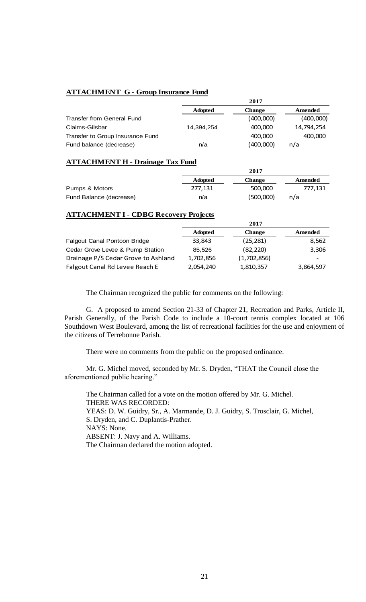# **ATTACHMENT G - Group Insurance Fund**

|                                   | 2017           |               |            |
|-----------------------------------|----------------|---------------|------------|
|                                   | <b>Adopted</b> | <b>Change</b> | Amended    |
| <b>Transfer from General Fund</b> |                | (400,000)     | (400,000)  |
| Claims-Gilsbar                    | 14.394.254     | 400,000       | 14.794.254 |
| Transfer to Group Insurance Fund  |                | 400,000       | 400,000    |
| Fund balance (decrease)           | n/a            | (400,000)     | n/a        |

## **ATTACHMENT H - Drainage Tax Fund**

|                         |                | $\sim$ $\blacksquare$ |         |
|-------------------------|----------------|-----------------------|---------|
|                         | <b>Adopted</b> | Change                | Amended |
| Pumps & Motors          | 277.131        | 500,000               | 777.131 |
| Fund Balance (decrease) | n/a            | (500,000)             | n/a     |

**2017**

# **ATTACHMENT I - CDBG Recovery Projects**

|                                     | 2017           |               |                          |
|-------------------------------------|----------------|---------------|--------------------------|
|                                     | <b>Adopted</b> | <b>Change</b> | Amended                  |
| Falgout Canal Pontoon Bridge        | 33,843         | (25, 281)     | 8,562                    |
| Cedar Grove Levee & Pump Station    | 85.526         | (82, 220)     | 3,306                    |
| Drainage P/S Cedar Grove to Ashland | 1,702,856      | (1,702,856)   | $\overline{\phantom{a}}$ |
| Falgout Canal Rd Levee Reach E      | 2,054,240      | 1,810,357     | 3,864,597                |

The Chairman recognized the public for comments on the following:

G. A proposed to amend Section 21-33 of Chapter 21, Recreation and Parks, Article II, Parish Generally, of the Parish Code to include a 10-court tennis complex located at 106 Southdown West Boulevard, among the list of recreational facilities for the use and enjoyment of the citizens of Terrebonne Parish.

There were no comments from the public on the proposed ordinance.

Mr. G. Michel moved, seconded by Mr. S. Dryden, "THAT the Council close the aforementioned public hearing."

The Chairman called for a vote on the motion offered by Mr. G. Michel. THERE WAS RECORDED: YEAS: D. W. Guidry, Sr., A. Marmande, D. J. Guidry, S. Trosclair, G. Michel, S. Dryden, and C. Duplantis-Prather. NAYS: None. ABSENT: J. Navy and A. Williams. The Chairman declared the motion adopted.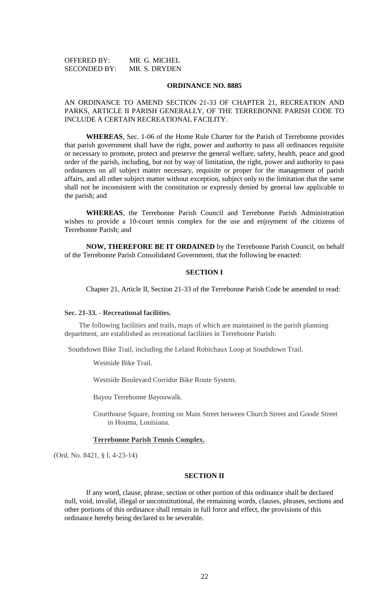| <b>OFFERED BY:</b>  | MR. G. MICHEL |
|---------------------|---------------|
| <b>SECONDED BY:</b> | MR. S. DRYDEN |

#### **ORDINANCE NO. 8885**

# AN ORDINANCE TO AMEND SECTION 21-33 OF CHAPTER 21, RECREATION AND PARKS, ARTICLE II PARISH GENERALLY, OF THE TERREBONNE PARISH CODE TO INCLUDE A CERTAIN RECREATIONAL FACILITY.

**WHEREAS**, Sec. 1-06 of the Home Rule Charter for the Parish of Terrebonne provides that parish government shall have the right, power and authority to pass all ordinances requisite or necessary to promote, protect and preserve the general welfare, safety, health, peace and good order of the parish, including, but not by way of limitation, the right, power and authority to pass ordinances on all subject matter necessary, requisite or proper for the management of parish affairs, and all other subject matter without exception, subject only to the limitation that the same shall not be inconsistent with the constitution or expressly denied by general law applicable to the parish; and

**WHEREAS**, the Terrebonne Parish Council and Terrebonne Parish Administration wishes to provide a 10-court tennis complex for the use and enjoyment of the citizens of Terrebonne Parish; and

**NOW, THEREFORE BE IT ORDAINED** by the Terrebonne Parish Council, on behalf of the Terrebonne Parish Consolidated Government, that the following be enacted:

### **SECTION I**

Chapter 21, Article II, Section 21-33 of the Terrebonne Parish Code be amended to read:

# **Sec. 21-33. - Recreational facilities.**

The following facilities and trails, maps of which are maintained in the parish planning department, are established as recreational facilities in Terrebonne Parish:

Southdown Bike Trail, including the Leland Robichaux Loop at Southdown Trail.

Westside Bike Trail.

Westside Boulevard Corridor Bike Route System.

Bayou Terrebonne Bayouwalk.

Courthouse Square, fronting on Main Street between Church Street and Goode Street in Houma, Louisiana.

### **Terrebonne Parish Tennis Complex.**

(Ord. No. 8421, § I, 4-23-14)

### **SECTION II**

If any word, clause, phrase, section or other portion of this ordinance shall be declared null, void, invalid, illegal or unconstitutional, the remaining words, clauses, phrases, sections and other portions of this ordinance shall remain in full force and effect, the provisions of this ordinance hereby being declared to be severable.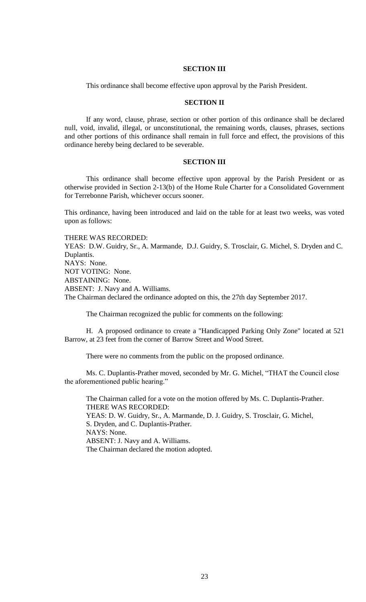# **SECTION III**

This ordinance shall become effective upon approval by the Parish President.

### **SECTION II**

If any word, clause, phrase, section or other portion of this ordinance shall be declared null, void, invalid, illegal, or unconstitutional, the remaining words, clauses, phrases, sections and other portions of this ordinance shall remain in full force and effect, the provisions of this ordinance hereby being declared to be severable.

# **SECTION III**

This ordinance shall become effective upon approval by the Parish President or as otherwise provided in Section 2-13(b) of the Home Rule Charter for a Consolidated Government for Terrebonne Parish, whichever occurs sooner.

This ordinance, having been introduced and laid on the table for at least two weeks, was voted upon as follows:

THERE WAS RECORDED:

YEAS: D.W. Guidry, Sr., A. Marmande, D.J. Guidry, S. Trosclair, G. Michel, S. Dryden and C. Duplantis. NAYS: None.

NOT VOTING: None.

ABSTAINING: None.

ABSENT: J. Navy and A. Williams.

The Chairman declared the ordinance adopted on this, the 27th day September 2017.

The Chairman recognized the public for comments on the following:

H. A proposed ordinance to create a "Handicapped Parking Only Zone" located at 521 Barrow, at 23 feet from the corner of Barrow Street and Wood Street.

There were no comments from the public on the proposed ordinance.

Ms. C. Duplantis-Prather moved, seconded by Mr. G. Michel, "THAT the Council close the aforementioned public hearing."

The Chairman called for a vote on the motion offered by Ms. C. Duplantis-Prather. THERE WAS RECORDED: YEAS: D. W. Guidry, Sr., A. Marmande, D. J. Guidry, S. Trosclair, G. Michel, S. Dryden, and C. Duplantis-Prather. NAYS: None. ABSENT: J. Navy and A. Williams. The Chairman declared the motion adopted.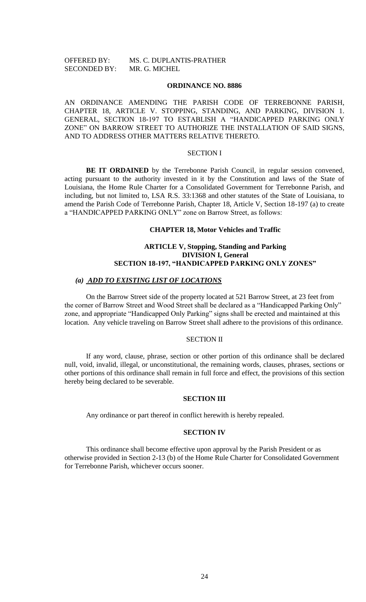# OFFERED BY: MS. C. DUPLANTIS-PRATHER SECONDED BY: MR. G. MICHEL

### **ORDINANCE NO. 8886**

AN ORDINANCE AMENDING THE PARISH CODE OF TERREBONNE PARISH, CHAPTER 18, ARTICLE V. STOPPING, STANDING, AND PARKING, DIVISION 1. GENERAL, SECTION 18-197 TO ESTABLISH A "HANDICAPPED PARKING ONLY ZONE" ON BARROW STREET TO AUTHORIZE THE INSTALLATION OF SAID SIGNS, AND TO ADDRESS OTHER MATTERS RELATIVE THERETO.

# SECTION I

**BE IT ORDAINED** by the Terrebonne Parish Council, in regular session convened, acting pursuant to the authority invested in it by the Constitution and laws of the State of Louisiana, the Home Rule Charter for a Consolidated Government for Terrebonne Parish, and including, but not limited to, LSA R.S. 33:1368 and other statutes of the State of Louisiana, to amend the Parish Code of Terrebonne Parish, Chapter 18, Article V, Section 18-197 (a) to create a "HANDICAPPED PARKING ONLY" zone on Barrow Street, as follows:

### **CHAPTER 18, Motor Vehicles and Traffic**

## **ARTICLE V, Stopping, Standing and Parking DIVISION I, General SECTION 18-197, "HANDICAPPED PARKING ONLY ZONES"**

# *(a) ADD TO EXISTING LIST OF LOCATIONS*

On the Barrow Street side of the property located at 521 Barrow Street, at 23 feet from the corner of Barrow Street and Wood Street shall be declared as a "Handicapped Parking Only" zone, and appropriate "Handicapped Only Parking" signs shall be erected and maintained at this location. Any vehicle traveling on Barrow Street shall adhere to the provisions of this ordinance.

### SECTION II

If any word, clause, phrase, section or other portion of this ordinance shall be declared null, void, invalid, illegal, or unconstitutional, the remaining words, clauses, phrases, sections or other portions of this ordinance shall remain in full force and effect, the provisions of this section hereby being declared to be severable.

### **SECTION III**

Any ordinance or part thereof in conflict herewith is hereby repealed.

# **SECTION IV**

This ordinance shall become effective upon approval by the Parish President or as otherwise provided in Section 2-13 (b) of the Home Rule Charter for Consolidated Government for Terrebonne Parish, whichever occurs sooner.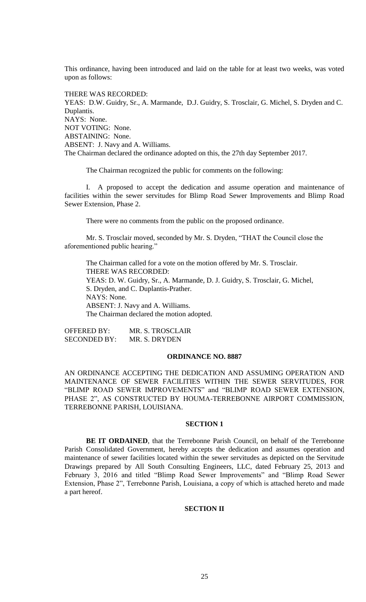This ordinance, having been introduced and laid on the table for at least two weeks, was voted upon as follows:

THERE WAS RECORDED:

YEAS: D.W. Guidry, Sr., A. Marmande, D.J. Guidry, S. Trosclair, G. Michel, S. Dryden and C. Duplantis. NAYS: None. NOT VOTING: None. ABSTAINING: None. ABSENT: J. Navy and A. Williams. The Chairman declared the ordinance adopted on this, the 27th day September 2017.

The Chairman recognized the public for comments on the following:

I. A proposed to accept the dedication and assume operation and maintenance of facilities within the sewer servitudes for Blimp Road Sewer Improvements and Blimp Road Sewer Extension, Phase 2.

There were no comments from the public on the proposed ordinance.

Mr. S. Trosclair moved, seconded by Mr. S. Dryden, "THAT the Council close the aforementioned public hearing."

The Chairman called for a vote on the motion offered by Mr. S. Trosclair. THERE WAS RECORDED: YEAS: D. W. Guidry, Sr., A. Marmande, D. J. Guidry, S. Trosclair, G. Michel, S. Dryden, and C. Duplantis-Prather. NAYS: None. ABSENT: J. Navy and A. Williams. The Chairman declared the motion adopted.

OFFERED BY: MR. S. TROSCLAIR SECONDED BY: MR. S. DRYDEN

# **ORDINANCE NO. 8887**

AN ORDINANCE ACCEPTING THE DEDICATION AND ASSUMING OPERATION AND MAINTENANCE OF SEWER FACILITIES WITHIN THE SEWER SERVITUDES, FOR "BLIMP ROAD SEWER IMPROVEMENTS" and "BLIMP ROAD SEWER EXTENSION, PHASE 2", AS CONSTRUCTED BY HOUMA-TERREBONNE AIRPORT COMMISSION, TERREBONNE PARISH, LOUISIANA.

### **SECTION 1**

**BE IT ORDAINED**, that the Terrebonne Parish Council, on behalf of the Terrebonne Parish Consolidated Government, hereby accepts the dedication and assumes operation and maintenance of sewer facilities located within the sewer servitudes as depicted on the Servitude Drawings prepared by All South Consulting Engineers, LLC, dated February 25, 2013 and February 3, 2016 and titled "Blimp Road Sewer Improvements" and "Blimp Road Sewer Extension, Phase 2", Terrebonne Parish, Louisiana, a copy of which is attached hereto and made a part hereof.

# **SECTION II**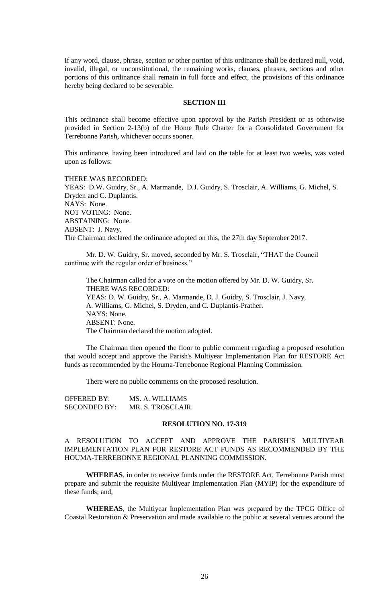If any word, clause, phrase, section or other portion of this ordinance shall be declared null, void, invalid, illegal, or unconstitutional, the remaining works, clauses, phrases, sections and other portions of this ordinance shall remain in full force and effect, the provisions of this ordinance hereby being declared to be severable.

#### **SECTION III**

This ordinance shall become effective upon approval by the Parish President or as otherwise provided in Section 2-13(b) of the Home Rule Charter for a Consolidated Government for Terrebonne Parish, whichever occurs sooner.

This ordinance, having been introduced and laid on the table for at least two weeks, was voted upon as follows:

THERE WAS RECORDED: YEAS: D.W. Guidry, Sr., A. Marmande, D.J. Guidry, S. Trosclair, A. Williams, G. Michel, S. Dryden and C. Duplantis. NAYS: None. NOT VOTING: None. ABSTAINING: None. ABSENT: J. Navy. The Chairman declared the ordinance adopted on this, the 27th day September 2017.

Mr. D. W. Guidry, Sr. moved, seconded by Mr. S. Trosclair, "THAT the Council continue with the regular order of business."

The Chairman called for a vote on the motion offered by Mr. D. W. Guidry, Sr. THERE WAS RECORDED: YEAS: D. W. Guidry, Sr., A. Marmande, D. J. Guidry, S. Trosclair, J. Navy, A. Williams, G. Michel, S. Dryden, and C. Duplantis-Prather. NAYS: None. ABSENT: None. The Chairman declared the motion adopted.

The Chairman then opened the floor to public comment regarding a proposed resolution that would accept and approve the Parish's Multiyear Implementation Plan for RESTORE Act funds as recommended by the Houma-Terrebonne Regional Planning Commission.

There were no public comments on the proposed resolution.

| OFFERED BY:         | MS. A. WILLIAMS  |
|---------------------|------------------|
| <b>SECONDED BY:</b> | MR. S. TROSCLAIR |

### **RESOLUTION NO. 17-319**

A RESOLUTION TO ACCEPT AND APPROVE THE PARISH'S MULTIYEAR IMPLEMENTATION PLAN FOR RESTORE ACT FUNDS AS RECOMMENDED BY THE HOUMA-TERREBONNE REGIONAL PLANNING COMMISSION.

**WHEREAS**, in order to receive funds under the RESTORE Act, Terrebonne Parish must prepare and submit the requisite Multiyear Implementation Plan (MYIP) for the expenditure of these funds; and,

**WHEREAS**, the Multiyear Implementation Plan was prepared by the TPCG Office of Coastal Restoration & Preservation and made available to the public at several venues around the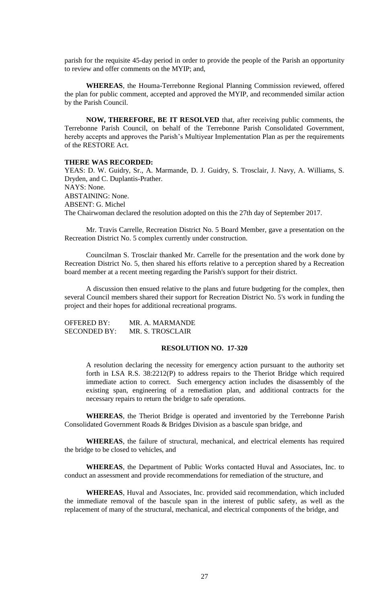parish for the requisite 45-day period in order to provide the people of the Parish an opportunity to review and offer comments on the MYIP; and,

**WHEREAS**, the Houma-Terrebonne Regional Planning Commission reviewed, offered the plan for public comment, accepted and approved the MYIP, and recommended similar action by the Parish Council.

**NOW, THEREFORE, BE IT RESOLVED** that, after receiving public comments, the Terrebonne Parish Council, on behalf of the Terrebonne Parish Consolidated Government, hereby accepts and approves the Parish's Multiyear Implementation Plan as per the requirements of the RESTORE Act.

#### **THERE WAS RECORDED:**

YEAS: D. W. Guidry, Sr., A. Marmande, D. J. Guidry, S. Trosclair, J. Navy, A. Williams, S. Dryden, and C. Duplantis-Prather. NAYS: None. ABSTAINING: None. ABSENT: G. Michel The Chairwoman declared the resolution adopted on this the 27th day of September 2017.

Mr. Travis Carrelle, Recreation District No. 5 Board Member, gave a presentation on the Recreation District No. 5 complex currently under construction.

Councilman S. Trosclair thanked Mr. Carrelle for the presentation and the work done by Recreation District No. 5, then shared his efforts relative to a perception shared by a Recreation board member at a recent meeting regarding the Parish's support for their district.

A discussion then ensued relative to the plans and future budgeting for the complex, then several Council members shared their support for Recreation District No. 5's work in funding the project and their hopes for additional recreational programs.

OFFERED BY: MR. A. MARMANDE SECONDED BY: MR. S. TROSCLAIR

# **RESOLUTION NO. 17-320**

A resolution declaring the necessity for emergency action pursuant to the authority set forth in LSA R.S. 38:2212(P) to address repairs to the Theriot Bridge which required immediate action to correct. Such emergency action includes the disassembly of the existing span, engineering of a remediation plan, and additional contracts for the necessary repairs to return the bridge to safe operations.

**WHEREAS**, the Theriot Bridge is operated and inventoried by the Terrebonne Parish Consolidated Government Roads & Bridges Division as a bascule span bridge, and

**WHEREAS**, the failure of structural, mechanical, and electrical elements has required the bridge to be closed to vehicles, and

**WHEREAS**, the Department of Public Works contacted Huval and Associates, Inc. to conduct an assessment and provide recommendations for remediation of the structure, and

**WHEREAS**, Huval and Associates, Inc. provided said recommendation, which included the immediate removal of the bascule span in the interest of public safety, as well as the replacement of many of the structural, mechanical, and electrical components of the bridge, and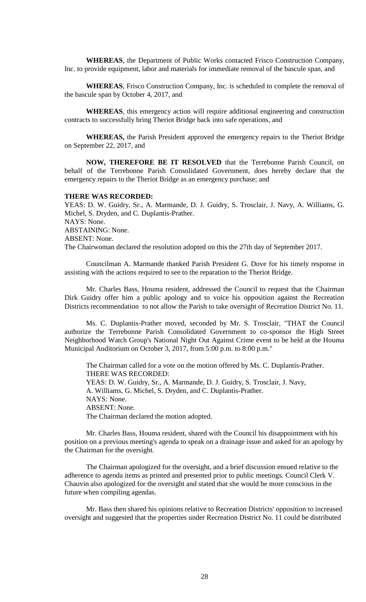**WHEREAS**, the Department of Public Works contacted Frisco Construction Company, Inc. to provide equipment, labor and materials for immediate removal of the bascule span, and

**WHEREAS**, Frisco Construction Company, Inc. is scheduled to complete the removal of the bascule span by October 4, 2017, and

**WHEREAS**, this emergency action will require additional engineering and construction contracts to successfully bring Theriot Bridge back into safe operations, and

**WHEREAS,** the Parish President approved the emergency repairs to the Theriot Bridge on September 22, 2017, and

**NOW, THEREFORE BE IT RESOLVED** that the Terrebonne Parish Council, on behalf of the Terrebonne Parish Consolidated Government, does hereby declare that the emergency repairs to the Theriot Bridge as an emergency purchase; and

### **THERE WAS RECORDED:**

YEAS: D. W. Guidry, Sr., A. Marmande, D. J. Guidry, S. Trosclair, J. Navy, A. Williams, G. Michel, S. Dryden, and C. Duplantis-Prather. NAYS: None. ABSTAINING: None. ABSENT: None. The Chairwoman declared the resolution adopted on this the 27th day of September 2017.

Councilman A. Marmande thanked Parish President G. Dove for his timely response in assisting with the actions required to see to the reparation to the Theriot Bridge.

Mr. Charles Bass, Houma resident, addressed the Council to request that the Chairman Dirk Guidry offer him a public apology and to voice his opposition against the Recreation Districts recommendation to not allow the Parish to take oversight of Recreation District No. 11.

Ms. C. Duplantis-Prather moved, seconded by Mr. S. Trosclair, "THAT the Council authorize the Terrebonne Parish Consolidated Government to co-sponsor the High Street Neighborhood Watch Group's National Night Out Against Crime event to be held at the Houma Municipal Auditorium on October 3, 2017, from 5:00 p.m. to 8:00 p.m."

The Chairman called for a vote on the motion offered by Ms. C. Duplantis-Prather. THERE WAS RECORDED: YEAS: D. W. Guidry, Sr., A. Marmande, D. J. Guidry, S. Trosclair, J. Navy, A. Williams, G. Michel, S. Dryden, and C. Duplantis-Prather. NAYS: None. ABSENT: None. The Chairman declared the motion adopted.

Mr. Charles Bass, Houma resident, shared with the Council his disappointment with his position on a previous meeting's agenda to speak on a drainage issue and asked for an apology by the Chairman for the oversight.

The Chairman apologized for the oversight, and a brief discussion ensued relative to the adherence to agenda items as printed and presented prior to public meetings. Council Clerk V. Chauvin also apologized for the oversight and stated that she would be more conscious in the future when compiling agendas.

Mr. Bass then shared his opinions relative to Recreation Districts' opposition to increased oversight and suggested that the properties under Recreation District No. 11 could be distributed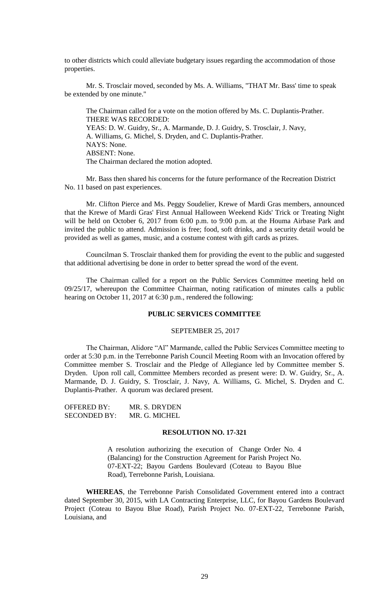to other districts which could alleviate budgetary issues regarding the accommodation of those properties.

Mr. S. Trosclair moved, seconded by Ms. A. Williams, "THAT Mr. Bass' time to speak be extended by one minute."

The Chairman called for a vote on the motion offered by Ms. C. Duplantis-Prather. THERE WAS RECORDED: YEAS: D. W. Guidry, Sr., A. Marmande, D. J. Guidry, S. Trosclair, J. Navy, A. Williams, G. Michel, S. Dryden, and C. Duplantis-Prather. NAYS: None. ABSENT: None. The Chairman declared the motion adopted.

Mr. Bass then shared his concerns for the future performance of the Recreation District No. 11 based on past experiences.

Mr. Clifton Pierce and Ms. Peggy Soudelier, Krewe of Mardi Gras members, announced that the Krewe of Mardi Gras' First Annual Halloween Weekend Kids' Trick or Treating Night will be held on October 6, 2017 from 6:00 p.m. to 9:00 p.m. at the Houma Airbase Park and invited the public to attend. Admission is free; food, soft drinks, and a security detail would be provided as well as games, music, and a costume contest with gift cards as prizes.

Councilman S. Trosclair thanked them for providing the event to the public and suggested that additional advertising be done in order to better spread the word of the event.

The Chairman called for a report on the Public Services Committee meeting held on 09/25/17, whereupon the Committee Chairman, noting ratification of minutes calls a public hearing on October 11, 2017 at 6:30 p.m., rendered the following:

## **PUBLIC SERVICES COMMITTEE**

### SEPTEMBER 25, 2017

The Chairman, Alidore "Al" Marmande, called the Public Services Committee meeting to order at 5:30 p.m. in the Terrebonne Parish Council Meeting Room with an Invocation offered by Committee member S. Trosclair and the Pledge of Allegiance led by Committee member S. Dryden. Upon roll call, Committee Members recorded as present were: D. W. Guidry, Sr., A. Marmande, D. J. Guidry, S. Trosclair, J. Navy, A. Williams, G. Michel, S. Dryden and C. Duplantis-Prather. A quorum was declared present.

| OFFERED BY:         | MR. S. DRYDEN |
|---------------------|---------------|
| <b>SECONDED BY:</b> | MR. G. MICHEL |

# **RESOLUTION NO. 17-321**

A resolution authorizing the execution of Change Order No. 4 (Balancing) for the Construction Agreement for Parish Project No. 07-EXT-22; Bayou Gardens Boulevard (Coteau to Bayou Blue Road), Terrebonne Parish, Louisiana.

**WHEREAS**, the Terrebonne Parish Consolidated Government entered into a contract dated September 30, 2015, with LA Contracting Enterprise, LLC, for Bayou Gardens Boulevard Project (Coteau to Bayou Blue Road), Parish Project No. 07-EXT-22, Terrebonne Parish, Louisiana, and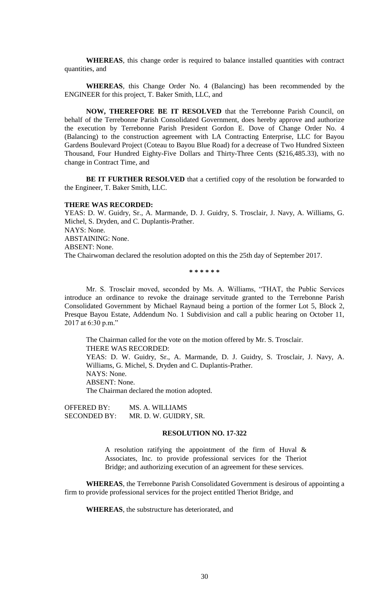**WHEREAS**, this change order is required to balance installed quantities with contract quantities, and

**WHEREAS**, this Change Order No. 4 (Balancing) has been recommended by the ENGINEER for this project, T. Baker Smith, LLC, and

**NOW, THEREFORE BE IT RESOLVED** that the Terrebonne Parish Council, on behalf of the Terrebonne Parish Consolidated Government, does hereby approve and authorize the execution by Terrebonne Parish President Gordon E. Dove of Change Order No. 4 (Balancing) to the construction agreement with LA Contracting Enterprise, LLC for Bayou Gardens Boulevard Project (Coteau to Bayou Blue Road) for a decrease of Two Hundred Sixteen Thousand, Four Hundred Eighty-Five Dollars and Thirty-Three Cents (\$216,485.33), with no change in Contract Time, and

**BE IT FURTHER RESOLVED** that a certified copy of the resolution be forwarded to the Engineer, T. Baker Smith, LLC.

#### **THERE WAS RECORDED:**

YEAS: D. W. Guidry, Sr., A. Marmande, D. J. Guidry, S. Trosclair, J. Navy, A. Williams, G. Michel, S. Dryden, and C. Duplantis-Prather. NAYS: None. ABSTAINING: None. ABSENT: None. The Chairwoman declared the resolution adopted on this the 25th day of September 2017.

**\* \* \* \* \* \***

Mr. S. Trosclair moved, seconded by Ms. A. Williams, "THAT, the Public Services introduce an ordinance to revoke the drainage servitude granted to the Terrebonne Parish Consolidated Government by Michael Raynaud being a portion of the former Lot 5, Block 2, Presque Bayou Estate, Addendum No. 1 Subdivision and call a public hearing on October 11, 2017 at 6:30 p.m."

The Chairman called for the vote on the motion offered by Mr. S. Trosclair. THERE WAS RECORDED: YEAS: D. W. Guidry, Sr., A. Marmande, D. J. Guidry, S. Trosclair, J. Navy, A. Williams, G. Michel, S. Dryden and C. Duplantis-Prather. NAYS: None. ABSENT: None. The Chairman declared the motion adopted.

OFFERED BY: MS. A. WILLIAMS SECONDED BY: MR. D. W. GUIDRY, SR.

#### **RESOLUTION NO. 17-322**

A resolution ratifying the appointment of the firm of Huval & Associates, Inc. to provide professional services for the Theriot Bridge; and authorizing execution of an agreement for these services.

**WHEREAS**, the Terrebonne Parish Consolidated Government is desirous of appointing a firm to provide professional services for the project entitled Theriot Bridge, and

**WHEREAS**, the substructure has deteriorated, and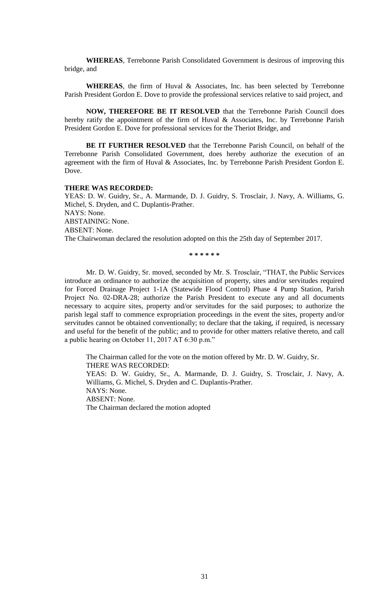**WHEREAS**, Terrebonne Parish Consolidated Government is desirous of improving this bridge, and

**WHEREAS**, the firm of Huval & Associates, Inc. has been selected by Terrebonne Parish President Gordon E. Dove to provide the professional services relative to said project, and

**NOW, THEREFORE BE IT RESOLVED** that the Terrebonne Parish Council does hereby ratify the appointment of the firm of Huval & Associates, Inc. by Terrebonne Parish President Gordon E. Dove for professional services for the Theriot Bridge, and

**BE IT FURTHER RESOLVED** that the Terrebonne Parish Council, on behalf of the Terrebonne Parish Consolidated Government, does hereby authorize the execution of an agreement with the firm of Huval & Associates, Inc. by Terrebonne Parish President Gordon E. Dove.

### **THERE WAS RECORDED:**

YEAS: D. W. Guidry, Sr., A. Marmande, D. J. Guidry, S. Trosclair, J. Navy, A. Williams, G. Michel, S. Dryden, and C. Duplantis-Prather. NAYS: None. ABSTAINING: None. ABSENT: None.

The Chairwoman declared the resolution adopted on this the 25th day of September 2017.

**\* \* \* \* \* \***

Mr. D. W. Guidry, Sr. moved, seconded by Mr. S. Trosclair, "THAT, the Public Services introduce an ordinance to authorize the acquisition of property, sites and/or servitudes required for Forced Drainage Project 1-1A (Statewide Flood Control) Phase 4 Pump Station, Parish Project No. 02-DRA-28; authorize the Parish President to execute any and all documents necessary to acquire sites, property and/or servitudes for the said purposes; to authorize the parish legal staff to commence expropriation proceedings in the event the sites, property and/or servitudes cannot be obtained conventionally; to declare that the taking, if required, is necessary and useful for the benefit of the public; and to provide for other matters relative thereto, and call a public hearing on October 11, 2017 AT 6:30 p.m."

The Chairman called for the vote on the motion offered by Mr. D. W. Guidry, Sr. THERE WAS RECORDED: YEAS: D. W. Guidry, Sr., A. Marmande, D. J. Guidry, S. Trosclair, J. Navy, A. Williams, G. Michel, S. Dryden and C. Duplantis-Prather. NAYS: None. ABSENT: None. The Chairman declared the motion adopted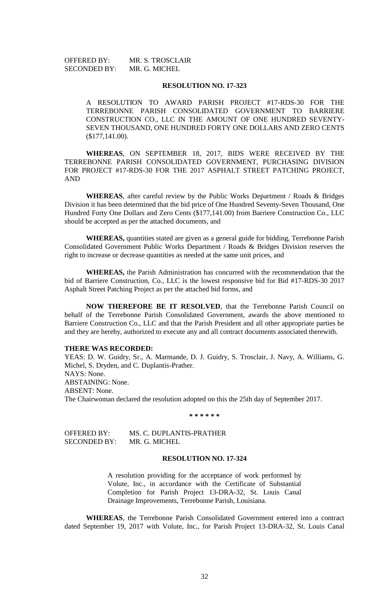OFFERED BY: MR. S. TROSCLAIR SECONDED BY: MR. G. MICHEL

### **RESOLUTION NO. 17-323**

A RESOLUTION TO AWARD PARISH PROJECT #17-RDS-30 FOR THE TERREBONNE PARISH CONSOLIDATED GOVERNMENT TO BARRIERE CONSTRUCTION CO., LLC IN THE AMOUNT OF ONE HUNDRED SEVENTY-SEVEN THOUSAND, ONE HUNDRED FORTY ONE DOLLARS AND ZERO CENTS (\$177,141.00).

**WHEREAS**, ON SEPTEMBER 18, 2017, BIDS WERE RECEIVED BY THE TERREBONNE PARISH CONSOLIDATED GOVERNMENT, PURCHASING DIVISION FOR PROJECT #17-RDS-30 FOR THE 2017 ASPHALT STREET PATCHING PROJECT, AND

**WHEREAS**, after careful review by the Public Works Department / Roads & Bridges Division it has been determined that the bid price of One Hundred Seventy-Seven Thousand, One Hundred Forty One Dollars and Zero Cents (\$177,141.00) from Barriere Construction Co., LLC should be accepted as per the attached documents, and

**WHEREAS,** quantities stated are given as a general guide for bidding, Terrebonne Parish Consolidated Government Public Works Department / Roads & Bridges Division reserves the right to increase or decrease quantities as needed at the same unit prices, and

**WHEREAS,** the Parish Administration has concurred with the recommendation that the bid of Barriere Construction, Co., LLC is the lowest responsive bid for Bid #17-RDS-30 2017 Asphalt Street Patching Project as per the attached bid forms, and

**NOW THEREFORE BE IT RESOLVED**, that the Terrebonne Parish Council on behalf of the Terrebonne Parish Consolidated Government, awards the above mentioned to Barriere Construction Co., LLC and that the Parish President and all other appropriate parties be and they are hereby, authorized to execute any and all contract documents associated therewith.

### **THERE WAS RECORDED:**

YEAS: D. W. Guidry, Sr., A. Marmande, D. J. Guidry, S. Trosclair, J. Navy, A. Williams, G. Michel, S. Dryden, and C. Duplantis-Prather. NAYS: None. ABSTAINING: None. ABSENT: None. The Chairwoman declared the resolution adopted on this the 25th day of September 2017.

**\* \* \* \* \* \***

| OFFERED BY:  | MS. C. DUPLANTIS-PRATHER |
|--------------|--------------------------|
| SECONDED BY: | MR. G. MICHEL            |

## **RESOLUTION NO. 17-324**

A resolution providing for the acceptance of work performed by Volute, Inc., in accordance with the Certificate of Substantial Completion for Parish Project 13-DRA-32, St. Louis Canal Drainage Improvements, Terrebonne Parish, Louisiana.

**WHEREAS**, the Terrebonne Parish Consolidated Government entered into a contract dated September 19, 2017 with Volute, Inc., for Parish Project 13-DRA-32, St. Louis Canal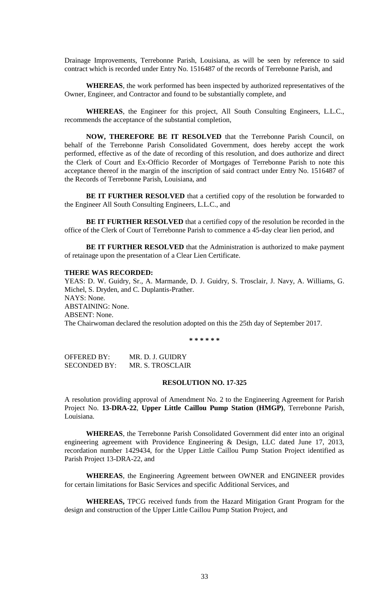Drainage Improvements, Terrebonne Parish, Louisiana, as will be seen by reference to said contract which is recorded under Entry No. 1516487 of the records of Terrebonne Parish, and

**WHEREAS**, the work performed has been inspected by authorized representatives of the Owner, Engineer, and Contractor and found to be substantially complete, and

**WHEREAS**, the Engineer for this project, All South Consulting Engineers, L.L.C., recommends the acceptance of the substantial completion,

**NOW, THEREFORE BE IT RESOLVED** that the Terrebonne Parish Council, on behalf of the Terrebonne Parish Consolidated Government, does hereby accept the work performed, effective as of the date of recording of this resolution, and does authorize and direct the Clerk of Court and Ex-Officio Recorder of Mortgages of Terrebonne Parish to note this acceptance thereof in the margin of the inscription of said contract under Entry No. 1516487 of the Records of Terrebonne Parish, Louisiana, and

**BE IT FURTHER RESOLVED** that a certified copy of the resolution be forwarded to the Engineer All South Consulting Engineers, L.L.C., and

**BE IT FURTHER RESOLVED** that a certified copy of the resolution be recorded in the office of the Clerk of Court of Terrebonne Parish to commence a 45-day clear lien period, and

**BE IT FURTHER RESOLVED** that the Administration is authorized to make payment of retainage upon the presentation of a Clear Lien Certificate.

#### **THERE WAS RECORDED:**

YEAS: D. W. Guidry, Sr., A. Marmande, D. J. Guidry, S. Trosclair, J. Navy, A. Williams, G. Michel, S. Dryden, and C. Duplantis-Prather. NAYS: None. ABSTAINING: None. ABSENT: None. The Chairwoman declared the resolution adopted on this the 25th day of September 2017.

**\* \* \* \* \* \***

OFFERED BY: MR. D. J. GUIDRY SECONDED BY: MR. S. TROSCLAIR

### **RESOLUTION NO. 17-325**

A resolution providing approval of Amendment No. 2 to the Engineering Agreement for Parish Project No. **13-DRA-22**, **Upper Little Caillou Pump Station (HMGP)**, Terrebonne Parish, Louisiana.

**WHEREAS**, the Terrebonne Parish Consolidated Government did enter into an original engineering agreement with Providence Engineering & Design, LLC dated June 17, 2013, recordation number 1429434, for the Upper Little Caillou Pump Station Project identified as Parish Project 13-DRA-22, and

**WHEREAS**, the Engineering Agreement between OWNER and ENGINEER provides for certain limitations for Basic Services and specific Additional Services, and

**WHEREAS,** TPCG received funds from the Hazard Mitigation Grant Program for the design and construction of the Upper Little Caillou Pump Station Project, and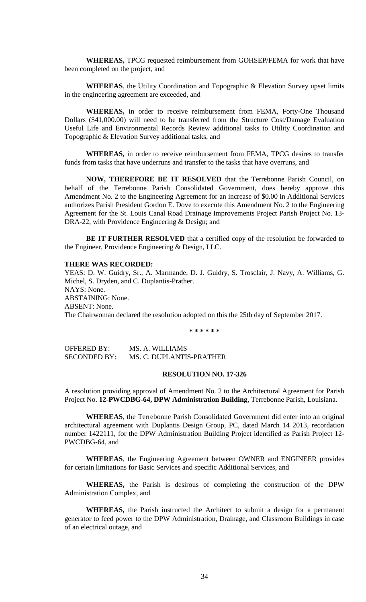**WHEREAS,** TPCG requested reimbursement from GOHSEP/FEMA for work that have been completed on the project, and

**WHEREAS**, the Utility Coordination and Topographic & Elevation Survey upset limits in the engineering agreement are exceeded, and

**WHEREAS,** in order to receive reimbursement from FEMA, Forty-One Thousand Dollars (\$41,000.00) will need to be transferred from the Structure Cost/Damage Evaluation Useful Life and Environmental Records Review additional tasks to Utility Coordination and Topographic & Elevation Survey additional tasks, and

**WHEREAS,** in order to receive reimbursement from FEMA, TPCG desires to transfer funds from tasks that have underruns and transfer to the tasks that have overruns, and

**NOW, THEREFORE BE IT RESOLVED** that the Terrebonne Parish Council, on behalf of the Terrebonne Parish Consolidated Government, does hereby approve this Amendment No. 2 to the Engineering Agreement for an increase of \$0.00 in Additional Services authorizes Parish President Gordon E. Dove to execute this Amendment No. 2 to the Engineering Agreement for the St. Louis Canal Road Drainage Improvements Project Parish Project No. 13- DRA-22, with Providence Engineering & Design; and

**BE IT FURTHER RESOLVED** that a certified copy of the resolution be forwarded to the Engineer, Providence Engineering & Design, LLC.

# **THERE WAS RECORDED:**

YEAS: D. W. Guidry, Sr., A. Marmande, D. J. Guidry, S. Trosclair, J. Navy, A. Williams, G. Michel, S. Dryden, and C. Duplantis-Prather. NAYS: None. ABSTAINING: None. ABSENT: None. The Chairwoman declared the resolution adopted on this the 25th day of September 2017.

**\* \* \* \* \* \***

OFFERED BY: MS. A. WILLIAMS SECONDED BY: MS. C. DUPLANTIS-PRATHER

# **RESOLUTION NO. 17-326**

A resolution providing approval of Amendment No. 2 to the Architectural Agreement for Parish Project No. **12-PWCDBG-64, DPW Administration Building**, Terrebonne Parish, Louisiana.

**WHEREAS**, the Terrebonne Parish Consolidated Government did enter into an original architectural agreement with Duplantis Design Group, PC, dated March 14 2013, recordation number 1422111, for the DPW Administration Building Project identified as Parish Project 12- PWCDBG-64, and

**WHEREAS**, the Engineering Agreement between OWNER and ENGINEER provides for certain limitations for Basic Services and specific Additional Services, and

**WHEREAS,** the Parish is desirous of completing the construction of the DPW Administration Complex, and

**WHEREAS,** the Parish instructed the Architect to submit a design for a permanent generator to feed power to the DPW Administration, Drainage, and Classroom Buildings in case of an electrical outage, and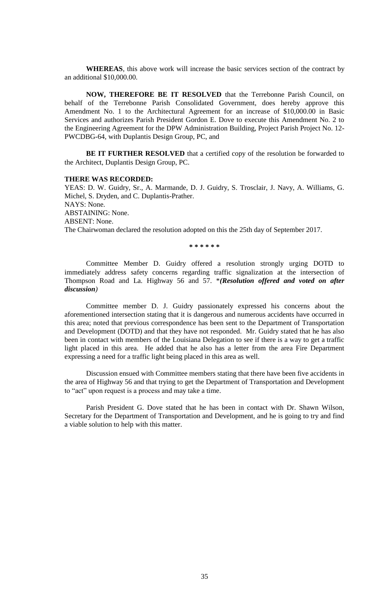**WHEREAS**, this above work will increase the basic services section of the contract by an additional \$10,000.00.

**NOW, THEREFORE BE IT RESOLVED** that the Terrebonne Parish Council, on behalf of the Terrebonne Parish Consolidated Government, does hereby approve this Amendment No. 1 to the Architectural Agreement for an increase of \$10,000.00 in Basic Services and authorizes Parish President Gordon E. Dove to execute this Amendment No. 2 to the Engineering Agreement for the DPW Administration Building, Project Parish Project No. 12- PWCDBG-64, with Duplantis Design Group, PC, and

**BE IT FURTHER RESOLVED** that a certified copy of the resolution be forwarded to the Architect, Duplantis Design Group, PC.

#### **THERE WAS RECORDED:**

YEAS: D. W. Guidry, Sr., A. Marmande, D. J. Guidry, S. Trosclair, J. Navy, A. Williams, G. Michel, S. Dryden, and C. Duplantis-Prather. NAYS: None. ABSTAINING: None. ABSENT: None. The Chairwoman declared the resolution adopted on this the 25th day of September 2017.

**\* \* \* \* \* \***

Committee Member D. Guidry offered a resolution strongly urging DOTD to immediately address safety concerns regarding traffic signalization at the intersection of Thompson Road and La. Highway 56 and 57. \**(Resolution offered and voted on after discussion)*

Committee member D. J. Guidry passionately expressed his concerns about the aforementioned intersection stating that it is dangerous and numerous accidents have occurred in this area; noted that previous correspondence has been sent to the Department of Transportation and Development (DOTD) and that they have not responded. Mr. Guidry stated that he has also been in contact with members of the Louisiana Delegation to see if there is a way to get a traffic light placed in this area. He added that he also has a letter from the area Fire Department expressing a need for a traffic light being placed in this area as well.

Discussion ensued with Committee members stating that there have been five accidents in the area of Highway 56 and that trying to get the Department of Transportation and Development to "act" upon request is a process and may take a time.

Parish President G. Dove stated that he has been in contact with Dr. Shawn Wilson, Secretary for the Department of Transportation and Development, and he is going to try and find a viable solution to help with this matter.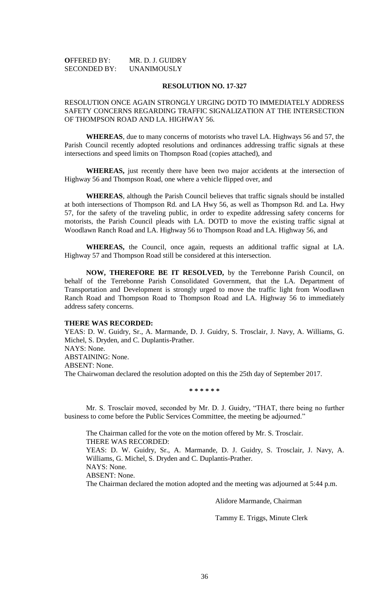| <b>OFFERED BY:</b>  | MR. D. J. GUIDRY |
|---------------------|------------------|
| <b>SECONDED BY:</b> | UNANIMOUSLY      |

#### **RESOLUTION NO. 17-327**

# RESOLUTION ONCE AGAIN STRONGLY URGING DOTD TO IMMEDIATELY ADDRESS SAFETY CONCERNS REGARDING TRAFFIC SIGNALIZATION AT THE INTERSECTION OF THOMPSON ROAD AND LA. HIGHWAY 56.

**WHEREAS**, due to many concerns of motorists who travel LA. Highways 56 and 57, the Parish Council recently adopted resolutions and ordinances addressing traffic signals at these intersections and speed limits on Thompson Road (copies attached), and

**WHEREAS,** just recently there have been two major accidents at the intersection of Highway 56 and Thompson Road, one where a vehicle flipped over, and

**WHEREAS**, although the Parish Council believes that traffic signals should be installed at both intersections of Thompson Rd. and LA Hwy 56, as well as Thompson Rd. and La. Hwy 57, for the safety of the traveling public, in order to expedite addressing safety concerns for motorists, the Parish Council pleads with LA. DOTD to move the existing traffic signal at Woodlawn Ranch Road and LA. Highway 56 to Thompson Road and LA. Highway 56, and

**WHEREAS,** the Council, once again, requests an additional traffic signal at LA. Highway 57 and Thompson Road still be considered at this intersection.

**NOW, THEREFORE BE IT RESOLVED,** by the Terrebonne Parish Council, on behalf of the Terrebonne Parish Consolidated Government, that the LA. Department of Transportation and Development is strongly urged to move the traffic light from Woodlawn Ranch Road and Thompson Road to Thompson Road and LA. Highway 56 to immediately address safety concerns.

### **THERE WAS RECORDED:**

YEAS: D. W. Guidry, Sr., A. Marmande, D. J. Guidry, S. Trosclair, J. Navy, A. Williams, G. Michel, S. Dryden, and C. Duplantis-Prather. NAYS: None. ABSTAINING: None. ABSENT: None. The Chairwoman declared the resolution adopted on this the 25th day of September 2017.

#### **\* \* \* \* \* \***

Mr. S. Trosclair moved, seconded by Mr. D. J. Guidry, "THAT, there being no further business to come before the Public Services Committee, the meeting be adjourned."

The Chairman called for the vote on the motion offered by Mr. S. Trosclair. THERE WAS RECORDED: YEAS: D. W. Guidry, Sr., A. Marmande, D. J. Guidry, S. Trosclair, J. Navy, A. Williams, G. Michel, S. Dryden and C. Duplantis-Prather. NAYS: None. ABSENT: None. The Chairman declared the motion adopted and the meeting was adjourned at 5:44 p.m.

Alidore Marmande, Chairman

Tammy E. Triggs, Minute Clerk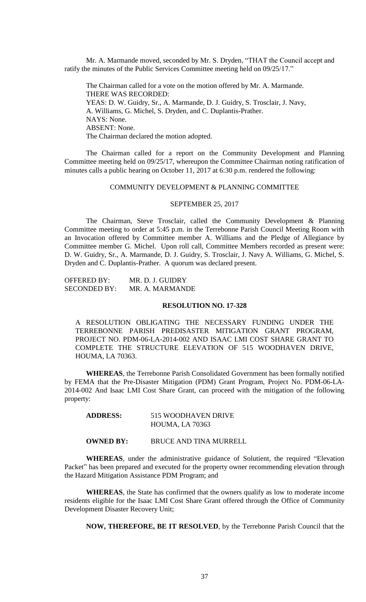Mr. A. Marmande moved, seconded by Mr. S. Dryden, "THAT the Council accept and ratify the minutes of the Public Services Committee meeting held on 09/25/17."

The Chairman called for a vote on the motion offered by Mr. A. Marmande. THERE WAS RECORDED: YEAS: D. W. Guidry, Sr., A. Marmande, D. J. Guidry, S. Trosclair, J. Navy, A. Williams, G. Michel, S. Dryden, and C. Duplantis-Prather. NAYS: None. ABSENT: None. The Chairman declared the motion adopted.

The Chairman called for a report on the Community Development and Planning Committee meeting held on 09/25/17, whereupon the Committee Chairman noting ratification of minutes calls a public hearing on October 11, 2017 at 6:30 p.m. rendered the following:

# COMMUNITY DEVELOPMENT & PLANNING COMMITTEE

#### SEPTEMBER 25, 2017

The Chairman, Steve Trosclair, called the Community Development & Planning Committee meeting to order at 5:45 p.m. in the Terrebonne Parish Council Meeting Room with an Invocation offered by Committee member A. Williams and the Pledge of Allegiance by Committee member G. Michel. Upon roll call, Committee Members recorded as present were: D. W. Guidry, Sr., A. Marmande, D. J. Guidry, S. Trosclair, J. Navy A. Williams, G. Michel, S. Dryden and C. Duplantis-Prather. A quorum was declared present.

| <b>OFFERED BY:</b>  | MR. D. J. GUIDRY |
|---------------------|------------------|
| <b>SECONDED BY:</b> | MR. A. MARMANDE  |

#### **RESOLUTION NO. 17-328**

A RESOLUTION OBLIGATING THE NECESSARY FUNDING UNDER THE TERREBONNE PARISH PREDISASTER MITIGATION GRANT PROGRAM, PROJECT NO. PDM-06-LA-2014-002 AND ISAAC LMI COST SHARE GRANT TO COMPLETE THE STRUCTURE ELEVATION OF 515 WOODHAVEN DRIVE, HOUMA, LA 70363.

**WHEREAS**, the Terrebonne Parish Consolidated Government has been formally notified by FEMA that the Pre-Disaster Mitigation (PDM) Grant Program, Project No. PDM-06-LA-2014-002 And Isaac LMI Cost Share Grant, can proceed with the mitigation of the following property:

| <b>ADDRESS:</b> | 515 WOODHAVEN DRIVE    |
|-----------------|------------------------|
|                 | <b>HOUMA, LA 70363</b> |

**OWNED BY:** BRUCE AND TINA MURRELL

**WHEREAS**, under the administrative guidance of Solutient, the required "Elevation Packet" has been prepared and executed for the property owner recommending elevation through the Hazard Mitigation Assistance PDM Program; and

**WHEREAS**, the State has confirmed that the owners qualify as low to moderate income residents eligible for the Isaac LMI Cost Share Grant offered through the Office of Community Development Disaster Recovery Unit;

**NOW, THEREFORE, BE IT RESOLVED**, by the Terrebonne Parish Council that the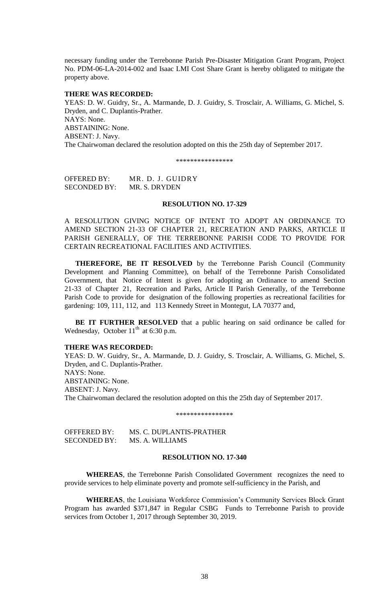necessary funding under the Terrebonne Parish Pre-Disaster Mitigation Grant Program, Project No. PDM-06-LA-2014-002 and Isaac LMI Cost Share Grant is hereby obligated to mitigate the property above.

### **THERE WAS RECORDED:**

YEAS: D. W. Guidry, Sr., A. Marmande, D. J. Guidry, S. Trosclair, A. Williams, G. Michel, S. Dryden, and C. Duplantis-Prather. NAYS: None. ABSTAINING: None. ABSENT: J. Navy. The Chairwoman declared the resolution adopted on this the 25th day of September 2017.

\*\*\*\*\*\*\*\*\*\*\*\*\*\*\*\*

OFFERED BY: MR. D. J. GUIDRY SECONDED BY: MR. S. DRYDEN

#### **RESOLUTION NO. 17-329**

A RESOLUTION GIVING NOTICE OF INTENT TO ADOPT AN ORDINANCE TO AMEND SECTION 21-33 OF CHAPTER 21, RECREATION AND PARKS, ARTICLE II PARISH GENERALLY, OF THE TERREBONNE PARISH CODE TO PROVIDE FOR CERTAIN RECREATIONAL FACILITIES AND ACTIVITIES.

**THEREFORE, BE IT RESOLVED** by the Terrebonne Parish Council (Community Development and Planning Committee), on behalf of the Terrebonne Parish Consolidated Government, that Notice of Intent is given for adopting an Ordinance to amend Section 21-33 of Chapter 21, Recreation and Parks, Article II Parish Generally, of the Terrebonne Parish Code to provide for designation of the following properties as recreational facilities for gardening: 109, 111, 112, and 113 Kennedy Street in Montegut, LA 70377 and,

**BE IT FURTHER RESOLVED** that a public hearing on said ordinance be called for Wednesday, October  $11<sup>th</sup>$  at 6:30 p.m.

### **THERE WAS RECORDED:**

YEAS: D. W. Guidry, Sr., A. Marmande, D. J. Guidry, S. Trosclair, A. Williams, G. Michel, S. Dryden, and C. Duplantis-Prather. NAYS: None. ABSTAINING: None. ABSENT: J. Navy. The Chairwoman declared the resolution adopted on this the 25th day of September 2017.

\*\*\*\*\*\*\*\*\*\*\*\*\*\*\*\*

| OFFFERED BY:        | MS. C. DUPLANTIS-PRATHER |
|---------------------|--------------------------|
| <b>SECONDED BY:</b> | MS. A. WILLIAMS          |

### **RESOLUTION NO. 17-340**

**WHEREAS**, the Terrebonne Parish Consolidated Government recognizes the need to provide services to help eliminate poverty and promote self-sufficiency in the Parish, and

**WHEREAS**, the Louisiana Workforce Commission's Community Services Block Grant Program has awarded \$371,847 in Regular CSBG Funds to Terrebonne Parish to provide services from October 1, 2017 through September 30, 2019.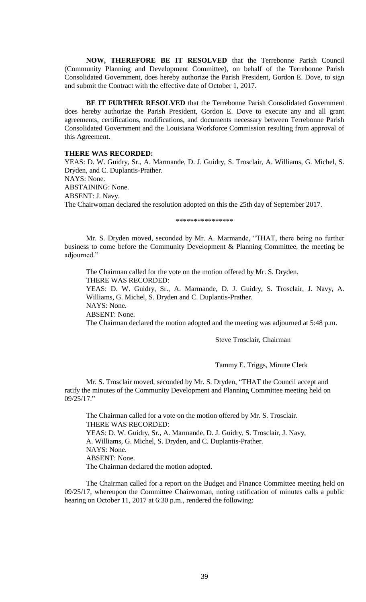**NOW, THEREFORE BE IT RESOLVED** that the Terrebonne Parish Council (Community Planning and Development Committee), on behalf of the Terrebonne Parish Consolidated Government, does hereby authorize the Parish President, Gordon E. Dove, to sign and submit the Contract with the effective date of October 1, 2017.

**BE IT FURTHER RESOLVED** that the Terrebonne Parish Consolidated Government does hereby authorize the Parish President, Gordon E. Dove to execute any and all grant agreements, certifications, modifications, and documents necessary between Terrebonne Parish Consolidated Government and the Louisiana Workforce Commission resulting from approval of this Agreement.

#### **THERE WAS RECORDED:**

YEAS: D. W. Guidry, Sr., A. Marmande, D. J. Guidry, S. Trosclair, A. Williams, G. Michel, S. Dryden, and C. Duplantis-Prather. NAYS: None. ABSTAINING: None. ABSENT: J. Navy. The Chairwoman declared the resolution adopted on this the 25th day of September 2017.

\*\*\*\*\*\*\*\*\*\*\*\*\*\*\*\*\*\*\*\*\*\*\*\*\*\*

Mr. S. Dryden moved, seconded by Mr. A. Marmande, "THAT, there being no further business to come before the Community Development & Planning Committee, the meeting be adjourned."

The Chairman called for the vote on the motion offered by Mr. S. Dryden. THERE WAS RECORDED:

YEAS: D. W. Guidry, Sr., A. Marmande, D. J. Guidry, S. Trosclair, J. Navy, A. Williams, G. Michel, S. Dryden and C. Duplantis-Prather. NAYS: None.

ABSENT: None.

The Chairman declared the motion adopted and the meeting was adjourned at 5:48 p.m.

Steve Trosclair, Chairman

Tammy E. Triggs, Minute Clerk

Mr. S. Trosclair moved, seconded by Mr. S. Dryden, "THAT the Council accept and ratify the minutes of the Community Development and Planning Committee meeting held on 09/25/17."

The Chairman called for a vote on the motion offered by Mr. S. Trosclair. THERE WAS RECORDED: YEAS: D. W. Guidry, Sr., A. Marmande, D. J. Guidry, S. Trosclair, J. Navy, A. Williams, G. Michel, S. Dryden, and C. Duplantis-Prather. NAYS: None. ABSENT: None. The Chairman declared the motion adopted.

The Chairman called for a report on the Budget and Finance Committee meeting held on 09/25/17, whereupon the Committee Chairwoman, noting ratification of minutes calls a public hearing on October 11, 2017 at 6:30 p.m., rendered the following: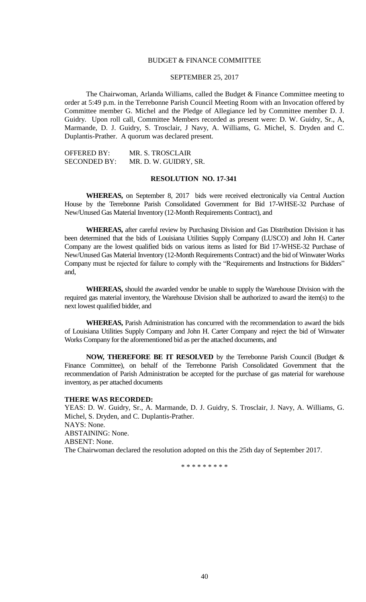### BUDGET & FINANCE COMMITTEE

### SEPTEMBER 25, 2017

The Chairwoman, Arlanda Williams, called the Budget & Finance Committee meeting to order at 5:49 p.m. in the Terrebonne Parish Council Meeting Room with an Invocation offered by Committee member G. Michel and the Pledge of Allegiance led by Committee member D. J. Guidry. Upon roll call, Committee Members recorded as present were: D. W. Guidry, Sr., A, Marmande, D. J. Guidry, S. Trosclair, J Navy, A. Williams, G. Michel, S. Dryden and C. Duplantis-Prather. A quorum was declared present.

| <b>OFFERED BY:</b>  | MR. S. TROSCLAIR      |
|---------------------|-----------------------|
| <b>SECONDED BY:</b> | MR. D. W. GUIDRY, SR. |

### **RESOLUTION NO. 17-341**

**WHEREAS,** on September 8, 2017 bids were received electronically via Central Auction House by the Terrebonne Parish Consolidated Government for Bid 17-WHSE-32 Purchase of New/Unused Gas Material Inventory (12-Month Requirements Contract), and

**WHEREAS,** after careful review by Purchasing Division and Gas Distribution Division it has been determined that the bids of Louisiana Utilities Supply Company (LUSCO) and John H. Carter Company are the lowest qualified bids on various items as listed for Bid 17-WHSE-32 Purchase of New/Unused Gas Material Inventory (12-Month Requirements Contract) and the bid of Winwater Works Company must be rejected for failure to comply with the "Requirements and Instructions for Bidders" and,

**WHEREAS,** should the awarded vendor be unable to supply the Warehouse Division with the required gas material inventory, the Warehouse Division shall be authorized to award the item(s) to the next lowest qualified bidder, and

**WHEREAS,** Parish Administration has concurred with the recommendation to award the bids of Louisiana Utilities Supply Company and John H. Carter Company and reject the bid of Winwater Works Company for the aforementioned bid as per the attached documents, and

**NOW, THEREFORE BE IT RESOLVED** by the Terrebonne Parish Council (Budget & Finance Committee), on behalf of the Terrebonne Parish Consolidated Government that the recommendation of Parish Administration be accepted for the purchase of gas material for warehouse inventory, as per attached documents

#### **THERE WAS RECORDED:**

YEAS: D. W. Guidry, Sr., A. Marmande, D. J. Guidry, S. Trosclair, J. Navy, A. Williams, G. Michel, S. Dryden, and C. Duplantis-Prather. NAYS: None. ABSTAINING: None. ABSENT: None. The Chairwoman declared the resolution adopted on this the 25th day of September 2017.

\* \* \* \* \* \* \* \* \*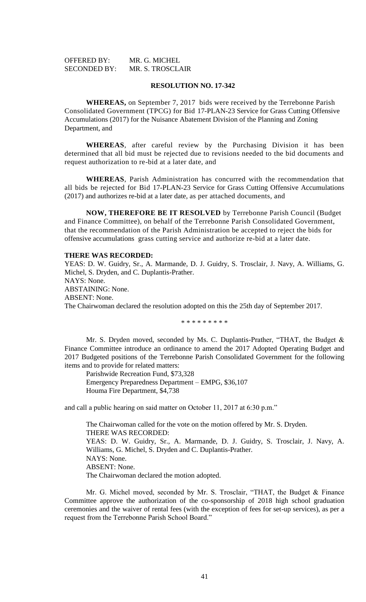| <b>OFFERED BY:</b>  | MR. G. MICHEL           |
|---------------------|-------------------------|
| <b>SECONDED BY:</b> | <b>MR. S. TROSCLAIR</b> |

### **RESOLUTION NO. 17-342**

**WHEREAS,** on September 7, 2017 bids were received by the Terrebonne Parish Consolidated Government (TPCG) for Bid 17-PLAN-23 Service for Grass Cutting Offensive Accumulations (2017) for the Nuisance Abatement Division of the Planning and Zoning Department, and

**WHEREAS**, after careful review by the Purchasing Division it has been determined that all bid must be rejected due to revisions needed to the bid documents and request authorization to re-bid at a later date, and

**WHEREAS**, Parish Administration has concurred with the recommendation that all bids be rejected for Bid 17-PLAN-23 Service for Grass Cutting Offensive Accumulations (2017) and authorizes re-bid at a later date, as per attached documents, and

**NOW, THEREFORE BE IT RESOLVED** by Terrebonne Parish Council (Budget and Finance Committee), on behalf of the Terrebonne Parish Consolidated Government, that the recommendation of the Parish Administration be accepted to reject the bids for offensive accumulations grass cutting service and authorize re-bid at a later date.

#### **THERE WAS RECORDED:**

YEAS: D. W. Guidry, Sr., A. Marmande, D. J. Guidry, S. Trosclair, J. Navy, A. Williams, G. Michel, S. Dryden, and C. Duplantis-Prather. NAYS: None. ABSTAINING: None. ABSENT: None. The Chairwoman declared the resolution adopted on this the 25th day of September 2017. \* \* \* \* \* \* \* \* \*

Mr. S. Dryden moved, seconded by Ms. C. Duplantis-Prather, "THAT, the Budget & Finance Committee introduce an ordinance to amend the 2017 Adopted Operating Budget and 2017 Budgeted positions of the Terrebonne Parish Consolidated Government for the following items and to provide for related matters:

Parishwide Recreation Fund, \$73,328 Emergency Preparedness Department – EMPG, \$36,107 Houma Fire Department, \$4,738

and call a public hearing on said matter on October 11, 2017 at 6:30 p.m."

The Chairwoman called for the vote on the motion offered by Mr. S. Dryden. THERE WAS RECORDED: YEAS: D. W. Guidry, Sr., A. Marmande, D. J. Guidry, S. Trosclair, J. Navy, A. Williams, G. Michel, S. Dryden and C. Duplantis-Prather. NAYS: None. ABSENT: None. The Chairwoman declared the motion adopted.

Mr. G. Michel moved, seconded by Mr. S. Trosclair, "THAT, the Budget & Finance Committee approve the authorization of the co-sponsorship of 2018 high school graduation ceremonies and the waiver of rental fees (with the exception of fees for set-up services), as per a request from the Terrebonne Parish School Board."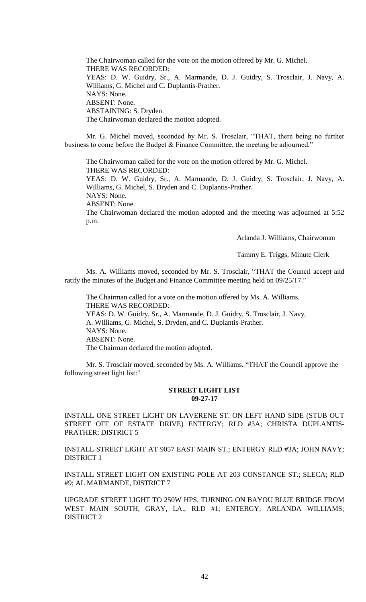The Chairwoman called for the vote on the motion offered by Mr. G. Michel. THERE WAS RECORDED: YEAS: D. W. Guidry, Sr., A. Marmande, D. J. Guidry, S. Trosclair, J. Navy, A. Williams, G. Michel and C. Duplantis-Prather. NAYS: None. ABSENT: None. ABSTAINING: S. Dryden. The Chairwoman declared the motion adopted.

Mr. G. Michel moved, seconded by Mr. S. Trosclair, "THAT, there being no further business to come before the Budget & Finance Committee, the meeting be adjourned."

The Chairwoman called for the vote on the motion offered by Mr. G. Michel. THERE WAS RECORDED: YEAS: D. W. Guidry, Sr., A. Marmande, D. J. Guidry, S. Trosclair, J. Navy, A. Williams, G. Michel, S. Dryden and C. Duplantis-Prather. NAYS: None. ABSENT: None. The Chairwoman declared the motion adopted and the meeting was adjourned at 5:52 p.m.

Arlanda J. Williams, Chairwoman

Tammy E. Triggs, Minute Clerk

Ms. A. Williams moved, seconded by Mr. S. Trosclair, "THAT the Council accept and ratify the minutes of the Budget and Finance Committee meeting held on 09/25/17."

The Chairman called for a vote on the motion offered by Ms. A. Williams. THERE WAS RECORDED: YEAS: D. W. Guidry, Sr., A. Marmande, D. J. Guidry, S. Trosclair, J. Navy, A. Williams, G. Michel, S. Dryden, and C. Duplantis-Prather. NAYS: None. ABSENT: None. The Chairman declared the motion adopted.

Mr. S. Trosclair moved, seconded by Ms. A. Williams, "THAT the Council approve the following street light list:"

### **STREET LIGHT LIST 09-27-17**

INSTALL ONE STREET LIGHT ON LAVERENE ST. ON LEFT HAND SIDE (STUB OUT STREET OFF OF ESTATE DRIVE) ENTERGY; RLD #3A; CHRISTA DUPLANTIS-PRATHER; DISTRICT 5

INSTALL STREET LIGHT AT 9057 EAST MAIN ST.; ENTERGY RLD #3A; JOHN NAVY; DISTRICT 1

INSTALL STREET LIGHT ON EXISTING POLE AT 203 CONSTANCE ST.; SLECA; RLD #9; AL MARMANDE, DISTRICT 7

UPGRADE STREET LIGHT TO 250W HPS, TURNING ON BAYOU BLUE BRIDGE FROM WEST MAIN SOUTH, GRAY, LA., RLD #1; ENTERGY; ARLANDA WILLIAMS; DISTRICT 2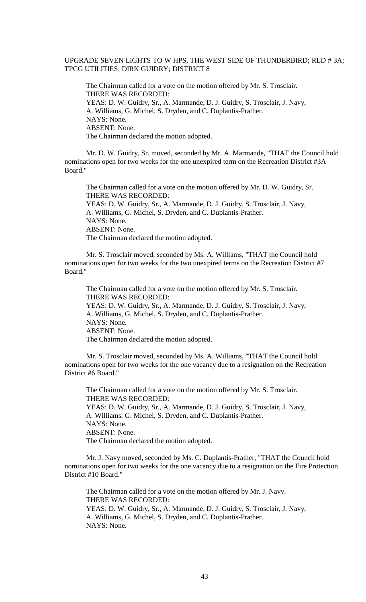# UPGRADE SEVEN LIGHTS TO W HPS, THE WEST SIDE OF THUNDERBIRD; RLD # 3A; TPCG UTILITIES; DIRK GUIDRY; DISTRICT 8

The Chairman called for a vote on the motion offered by Mr. S. Trosclair. THERE WAS RECORDED: YEAS: D. W. Guidry, Sr., A. Marmande, D. J. Guidry, S. Trosclair, J. Navy, A. Williams, G. Michel, S. Dryden, and C. Duplantis-Prather. NAYS: None. ABSENT: None. The Chairman declared the motion adopted.

Mr. D. W. Guidry, Sr. moved, seconded by Mr. A. Marmande, "THAT the Council hold nominations open for two weeks for the one unexpired term on the Recreation District #3A Board."

The Chairman called for a vote on the motion offered by Mr. D. W. Guidry, Sr. THERE WAS RECORDED: YEAS: D. W. Guidry, Sr., A. Marmande, D. J. Guidry, S. Trosclair, J. Navy, A. Williams, G. Michel, S. Dryden, and C. Duplantis-Prather. NAYS: None. ABSENT: None. The Chairman declared the motion adopted.

Mr. S. Trosclair moved, seconded by Ms. A. Williams, "THAT the Council hold nominations open for two weeks for the two unexpired terms on the Recreation District #7 Board."

The Chairman called for a vote on the motion offered by Mr. S. Trosclair. THERE WAS RECORDED: YEAS: D. W. Guidry, Sr., A. Marmande, D. J. Guidry, S. Trosclair, J. Navy, A. Williams, G. Michel, S. Dryden, and C. Duplantis-Prather. NAYS: None. ABSENT: None. The Chairman declared the motion adopted.

Mr. S. Trosclair moved, seconded by Ms. A. Williams, "THAT the Council hold nominations open for two weeks for the one vacancy due to a resignation on the Recreation District #6 Board."

The Chairman called for a vote on the motion offered by Mr. S. Trosclair. THERE WAS RECORDED: YEAS: D. W. Guidry, Sr., A. Marmande, D. J. Guidry, S. Trosclair, J. Navy, A. Williams, G. Michel, S. Dryden, and C. Duplantis-Prather. NAYS: None. ABSENT: None. The Chairman declared the motion adopted.

Mr. J. Navy moved, seconded by Ms. C. Duplantis-Prather, "THAT the Council hold nominations open for two weeks for the one vacancy due to a resignation on the Fire Protection District #10 Board."

The Chairman called for a vote on the motion offered by Mr. J. Navy. THERE WAS RECORDED: YEAS: D. W. Guidry, Sr., A. Marmande, D. J. Guidry, S. Trosclair, J. Navy, A. Williams, G. Michel, S. Dryden, and C. Duplantis-Prather. NAYS: None.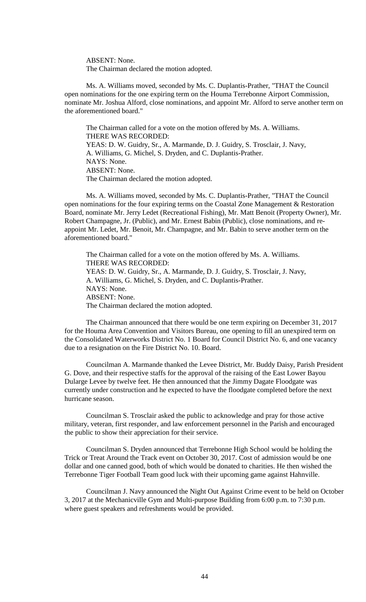ABSENT: None. The Chairman declared the motion adopted.

Ms. A. Williams moved, seconded by Ms. C. Duplantis-Prather, "THAT the Council open nominations for the one expiring term on the Houma Terrebonne Airport Commission, nominate Mr. Joshua Alford, close nominations, and appoint Mr. Alford to serve another term on the aforementioned board."

The Chairman called for a vote on the motion offered by Ms. A. Williams. THERE WAS RECORDED: YEAS: D. W. Guidry, Sr., A. Marmande, D. J. Guidry, S. Trosclair, J. Navy, A. Williams, G. Michel, S. Dryden, and C. Duplantis-Prather. NAYS: None. ABSENT: None. The Chairman declared the motion adopted.

Ms. A. Williams moved, seconded by Ms. C. Duplantis-Prather, "THAT the Council open nominations for the four expiring terms on the Coastal Zone Management & Restoration Board, nominate Mr. Jerry Ledet (Recreational Fishing), Mr. Matt Benoit (Property Owner), Mr. Robert Champagne, Jr. (Public), and Mr. Ernest Babin (Public), close nominations, and reappoint Mr. Ledet, Mr. Benoit, Mr. Champagne, and Mr. Babin to serve another term on the aforementioned board."

The Chairman called for a vote on the motion offered by Ms. A. Williams. THERE WAS RECORDED: YEAS: D. W. Guidry, Sr., A. Marmande, D. J. Guidry, S. Trosclair, J. Navy, A. Williams, G. Michel, S. Dryden, and C. Duplantis-Prather. NAYS: None. ABSENT: None. The Chairman declared the motion adopted.

The Chairman announced that there would be one term expiring on December 31, 2017 for the Houma Area Convention and Visitors Bureau, one opening to fill an unexpired term on the Consolidated Waterworks District No. 1 Board for Council District No. 6, and one vacancy due to a resignation on the Fire District No. 10. Board.

Councilman A. Marmande thanked the Levee District, Mr. Buddy Daisy, Parish President G. Dove, and their respective staffs for the approval of the raising of the East Lower Bayou Dularge Levee by twelve feet. He then announced that the Jimmy Dagate Floodgate was currently under construction and he expected to have the floodgate completed before the next hurricane season.

Councilman S. Trosclair asked the public to acknowledge and pray for those active military, veteran, first responder, and law enforcement personnel in the Parish and encouraged the public to show their appreciation for their service.

Councilman S. Dryden announced that Terrebonne High School would be holding the Trick or Treat Around the Track event on October 30, 2017. Cost of admission would be one dollar and one canned good, both of which would be donated to charities. He then wished the Terrebonne Tiger Football Team good luck with their upcoming game against Hahnville.

Councilman J. Navy announced the Night Out Against Crime event to be held on October 3, 2017 at the Mechanicville Gym and Multi-purpose Building from 6:00 p.m. to 7:30 p.m. where guest speakers and refreshments would be provided.